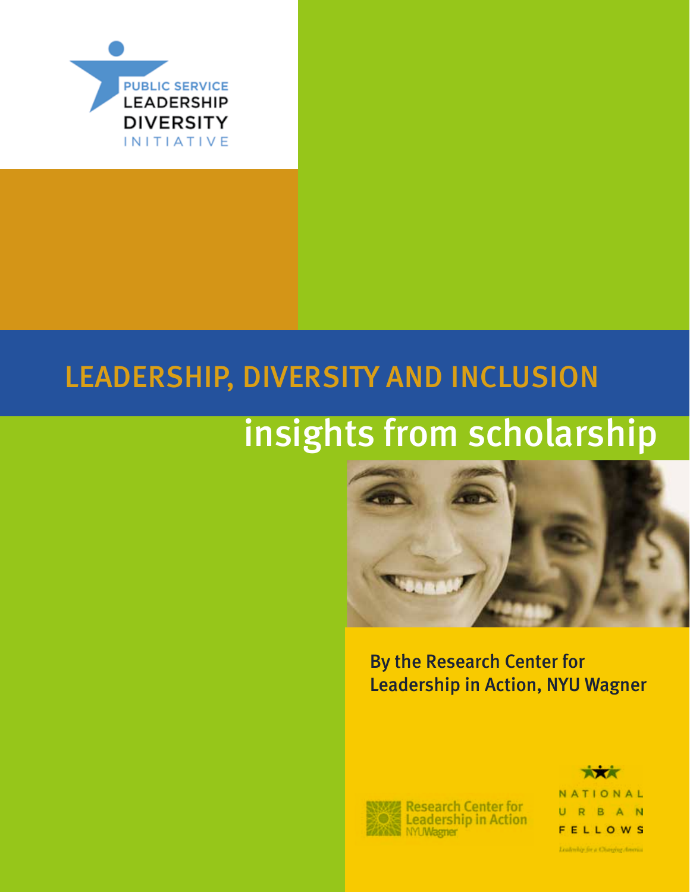

# LEADERSHIP, DIVERSITY AND INCLUSION

# insights from scholarship



By the Research Center for Leadership in Action, NYU Wagner



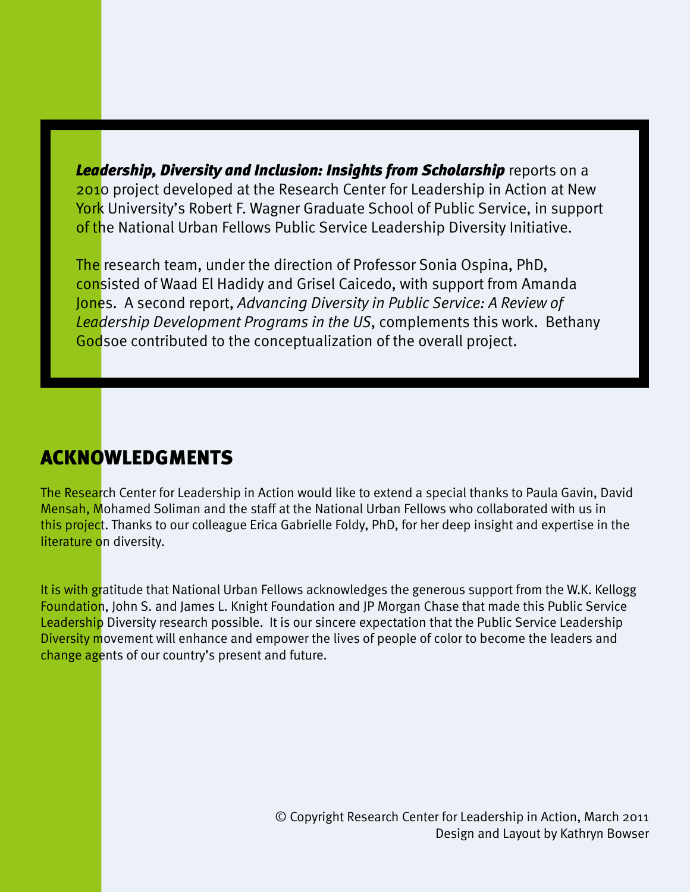*Leadership, Diversity and Inclusion: Insights from Scholarship* reports on a 2010 project developed at the Research Center for Leadership in Action at New York University's Robert F. Wagner Graduate School of Public Service, in support of the National Urban Fellows Public Service Leadership Diversity Initiative.

The research team, under the direction of Professor Sonia Ospina, PhD, consisted of Waad El Hadidy and Grisel Caicedo, with support from Amanda Jones. A second report, *Advancing Diversity in Public Service: A Review of Leadership Development Programs in the US*, complements this work. Bethany Godsoe contributed to the conceptualization of the overall project.

### Acknowledgments

2 Leadership, Diversity and Inclusion: Insights from Scholarship

The Research Center for Leadership in Action would like to extend a special thanks to Paula Gavin, David Mensah, Mohamed Soliman and the staff at the National Urban Fellows who collaborated with us in this project. Thanks to our colleague Erica Gabrielle Foldy, PhD, for her deep insight and expertise in the literature on diversity.

It is with gratitude that National Urban Fellows acknowledges the generous support from the W.K. Kellogg Foundation, John S. and James L. Knight Foundation and JP Morgan Chase that made this Public Service Leadership Diversity research possible. It is our sincere expectation that the Public Service Leadership Diversity movement will enhance and empower the lives of people of color to become the leaders and change agents of our country's present and future.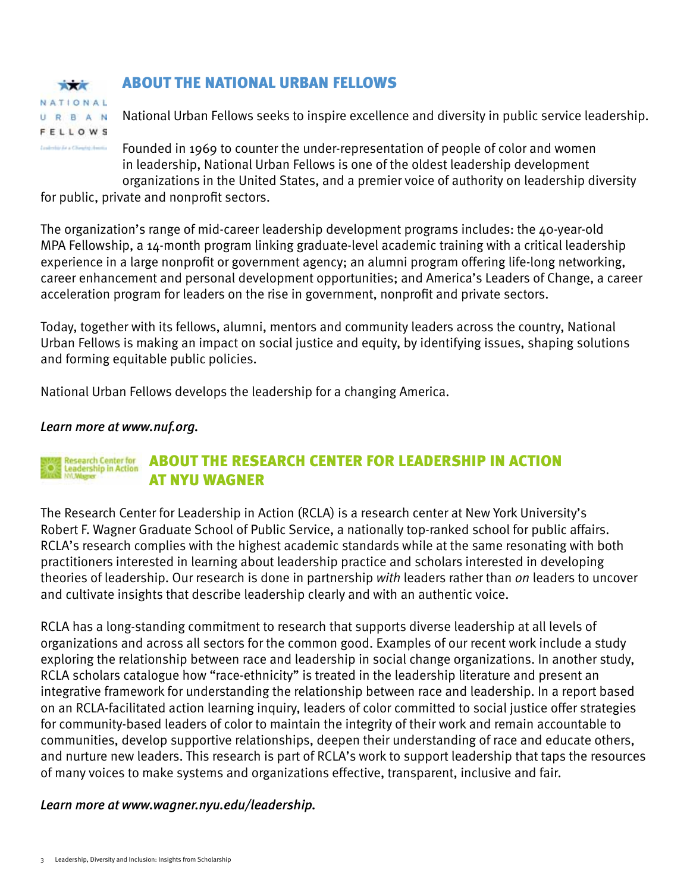### About the National Urban Fellows

**XXX** NATIONAL URBAN **FELLOWS** 

**Ludebirde a Cheirig Heim** 

### National Urban Fellows seeks to inspire excellence and diversity in public service leadership.

Founded in 1969 to counter the under-representation of people of color and women in leadership, National Urban Fellows is one of the oldest leadership development organizations in the United States, and a premier voice of authority on leadership diversity

for public, private and nonprofit sectors.

The organization's range of mid-career leadership development programs includes: the 40-year-old MPA Fellowship, a 14-month program linking graduate-level academic training with a critical leadership experience in a large nonprofit or government agency; an alumni program offering life-long networking, career enhancement and personal development opportunities; and America's Leaders of Change, a career acceleration program for leaders on the rise in government, nonprofit and private sectors.

Today, together with its fellows, alumni, mentors and community leaders across the country, National Urban Fellows is making an impact on social justice and equity, by identifying issues, shaping solutions and forming equitable public policies.

National Urban Fellows develops the leadership for a changing America.

#### *Learn more at<www.nuf.org>.*

#### **Research Center for<br>Leadership in Action** About the Research Center for Leadership in Action at NYU Wagner

The Research Center for Leadership in Action (RCLA) is a research center at New York University's Robert F. Wagner Graduate School of Public Service, a nationally top-ranked school for public affairs. RCLA's research complies with the highest academic standards while at the same resonating with both practitioners interested in learning about leadership practice and scholars interested in developing theories of leadership. Our research is done in partnership *with* leaders rather than *on* leaders to uncover and cultivate insights that describe leadership clearly and with an authentic voice.

RCLA has a long-standing commitment to research that supports diverse leadership at all levels of organizations and across all sectors for the common good. Examples of our recent work include a study exploring the relationship between race and leadership in social change organizations. In another study, RCLA scholars catalogue how "race-ethnicity" is treated in the leadership literature and present an integrative framework for understanding the relationship between race and leadership. In a report based on an RCLA-facilitated action learning inquiry, leaders of color committed to social justice offer strategies for community-based leaders of color to maintain the integrity of their work and remain accountable to communities, develop supportive relationships, deepen their understanding of race and educate others, and nurture new leaders. This research is part of RCLA's work to support leadership that taps the resources of many voices to make systems and organizations effective, transparent, inclusive and fair.

*Learn more at<www.wagner.nyu.edu/leadership>.*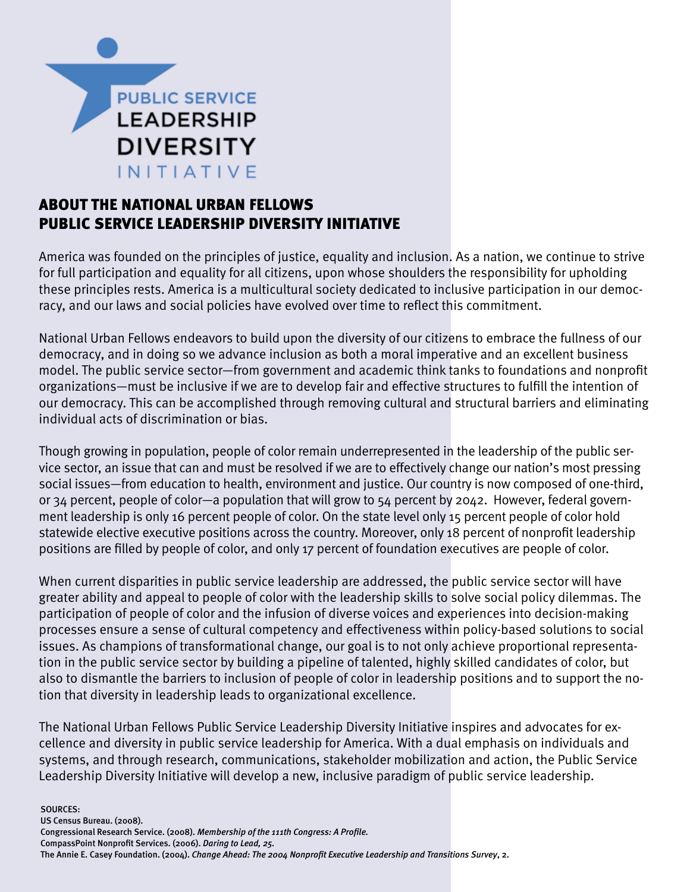

### About the National Urban Fellows Public Service Leadership Diversity Initiative

America was founded on the principles of justice, equality and inclusion. As a nation, we continue to strive for full participation and equality for all citizens, upon whose shoulders the responsibility for upholding these principles rests. America is a multicultural society dedicated to inclusive participation in our democracy, and our laws and social policies have evolved over time to reflect this commitment.

National Urban Fellows endeavors to build upon the diversity of our citizens to embrace the fullness of our democracy, and in doing so we advance inclusion as both a moral imperative and an excellent business model. The public service sector—from government and academic think tanks to foundations and nonprofit organizations—must be inclusive if we are to develop fair and effective structures to fulfill the intention of our democracy. This can be accomplished through removing cultural and structural barriers and eliminating individual acts of discrimination or bias.

Though growing in population, people of color remain underrepresented in the leadership of the public service sector, an issue that can and must be resolved if we are to effectively change our nation's most pressing social issues—from education to health, environment and justice. Our country is now composed of one-third, or 34 percent, people of color—a population that will grow to 54 percent by 2042. However, federal government leadership is only 16 percent people of color. On the state level only 15 percent people of color hold statewide elective executive positions across the country. Moreover, only 18 percent of nonprofit leadership positions are filled by people of color, and only 17 percent of foundation executives are people of color.

When current disparities in public service leadership are addressed, the public service sector will have greater ability and appeal to people of color with the leadership skills to solve social policy dilemmas. The participation of people of color and the infusion of diverse voices and experiences into decision-making processes ensure a sense of cultural competency and effectiveness within policy-based solutions to social issues. As champions of transformational change, our goal is to not only achieve proportional representation in the public service sector by building a pipeline of talented, highly skilled candidates of color, but also to dismantle the barriers to inclusion of people of color in leadership positions and to support the notion that diversity in leadership leads to organizational excellence.

The National Urban Fellows Public Service Leadership Diversity Initiative inspires and advocates for excellence and diversity in public service leadership for America. With a dual emphasis on individuals and systems, and through research, communications, stakeholder mobilization and action, the Public Service Leadership Diversity Initiative will develop a new, inclusive paradigm of public service leadership.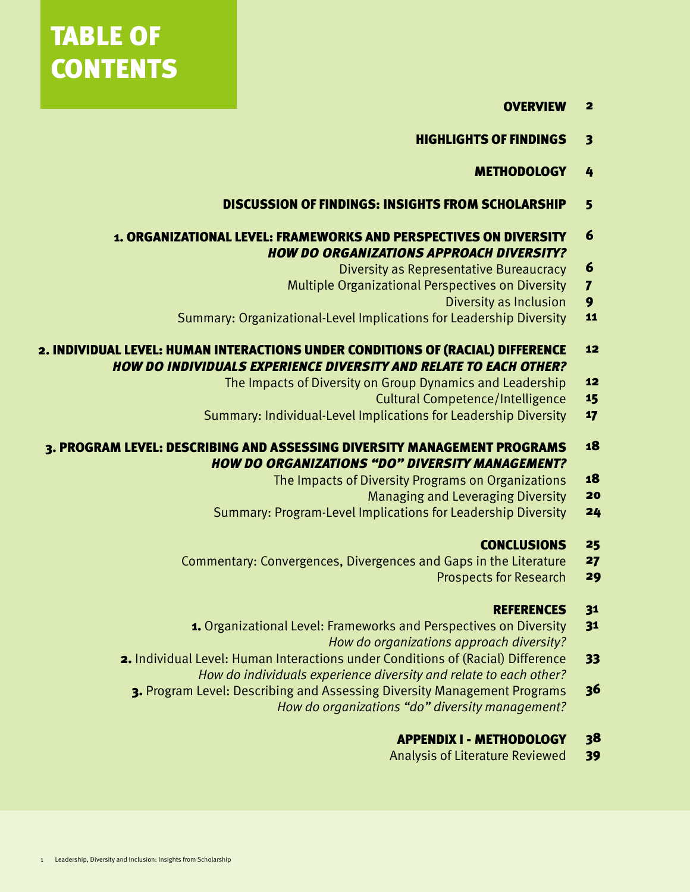# TABLE OF **CONTENTS**

- **OVERVIEW** 2
- Highlights of Findings 3
	- **METHODOLOGY** 4
- Discussion of Findings: Insights from Scholarship 5

#### 1. Organizational Level: Frameworks and Perspectives on Diversity *How do organizations approach diversity?* 6

- Diversity as Representative Bureaucracy 6
- Multiple Organizational Perspectives on Diversity 7
	- Diversity as Inclusion 9
- Summary: Organizational-Level Implications for Leadership Diversity 11

#### 2. Individual Level: Human Interactions under Conditions of (Racial) Difference *How do individuals experience diversity and relate to each other?* 12

- The Impacts of Diversity on Group Dynamics and Leadership 12
	- Cultural Competence/Intelligence 15
- Summary: Individual-Level Implications for Leadership Diversity 17
- 3. Program Level: Describing and Assessing Diversity Management Programs *How do organizations "do" diversity management?* 18
	- The Impacts of Diversity Programs on Organizations 18
		- Managing and Leveraging Diversity 20
	- Summary: Program-Level Implications for Leadership Diversity 24

#### **CONCLUSIONS** 25

- Commentary: Convergences, Divergences and Gaps in the Literature 27
	- Prospects for Research 29

#### **REFERENCES** 31

- 1. Organizational Level: Frameworks and Perspectives on Diversity *How do organizations approach diversity?* 31
- 2. Individual Level: Human Interactions under Conditions of (Racial) Difference *How do individuals experience diversity and relate to each other?* 33
	- 3. Program Level: Describing and Assessing Diversity Management Programs *How do organizations "do" diversity management?* 36

#### Appendix I - Methodology 38

Analysis of Literature Reviewed 39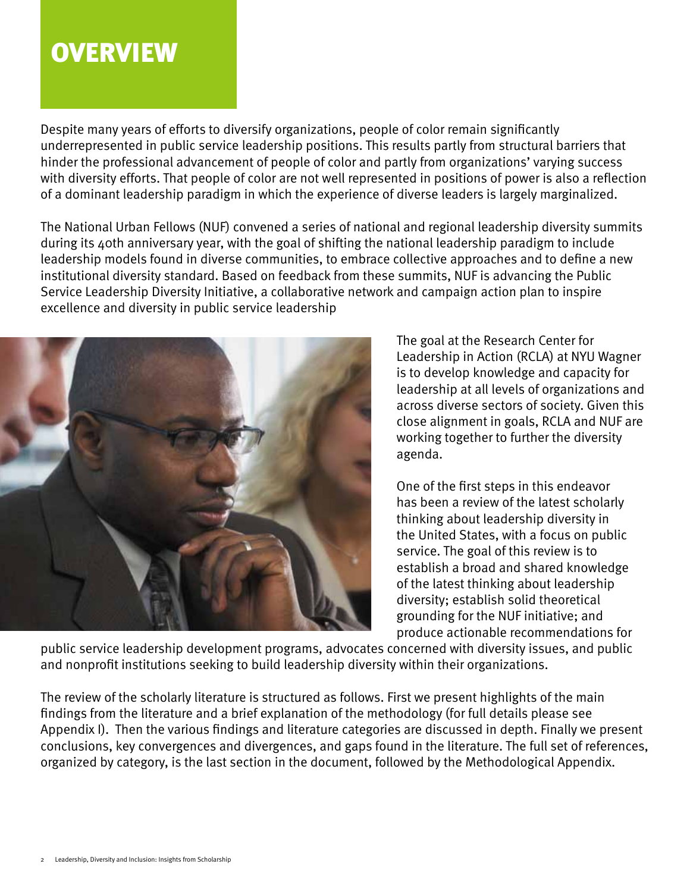### **OVERVIEW**

Despite many years of efforts to diversify organizations, people of color remain significantly underrepresented in public service leadership positions. This results partly from structural barriers that hinder the professional advancement of people of color and partly from organizations' varying success with diversity efforts. That people of color are not well represented in positions of power is also a reflection of a dominant leadership paradigm in which the experience of diverse leaders is largely marginalized.

The National Urban Fellows (NUF) convened a series of national and regional leadership diversity summits during its 40th anniversary year, with the goal of shifting the national leadership paradigm to include leadership models found in diverse communities, to embrace collective approaches and to define a new institutional diversity standard. Based on feedback from these summits, NUF is advancing the Public Service Leadership Diversity Initiative, a collaborative network and campaign action plan to inspire excellence and diversity in public service leadership



The goal at the Research Center for Leadership in Action (RCLA) at NYU Wagner is to develop knowledge and capacity for leadership at all levels of organizations and across diverse sectors of society. Given this close alignment in goals, RCLA and NUF are working together to further the diversity agenda.

One of the first steps in this endeavor has been a review of the latest scholarly thinking about leadership diversity in the United States, with a focus on public service. The goal of this review is to establish a broad and shared knowledge of the latest thinking about leadership diversity; establish solid theoretical grounding for the NUF initiative; and produce actionable recommendations for

public service leadership development programs, advocates concerned with diversity issues, and public and nonprofit institutions seeking to build leadership diversity within their organizations.

The review of the scholarly literature is structured as follows. First we present highlights of the main findings from the literature and a brief explanation of the methodology (for full details please see Appendix I). Then the various findings and literature categories are discussed in depth. Finally we present conclusions, key convergences and divergences, and gaps found in the literature. The full set of references, organized by category, is the last section in the document, followed by the Methodological Appendix.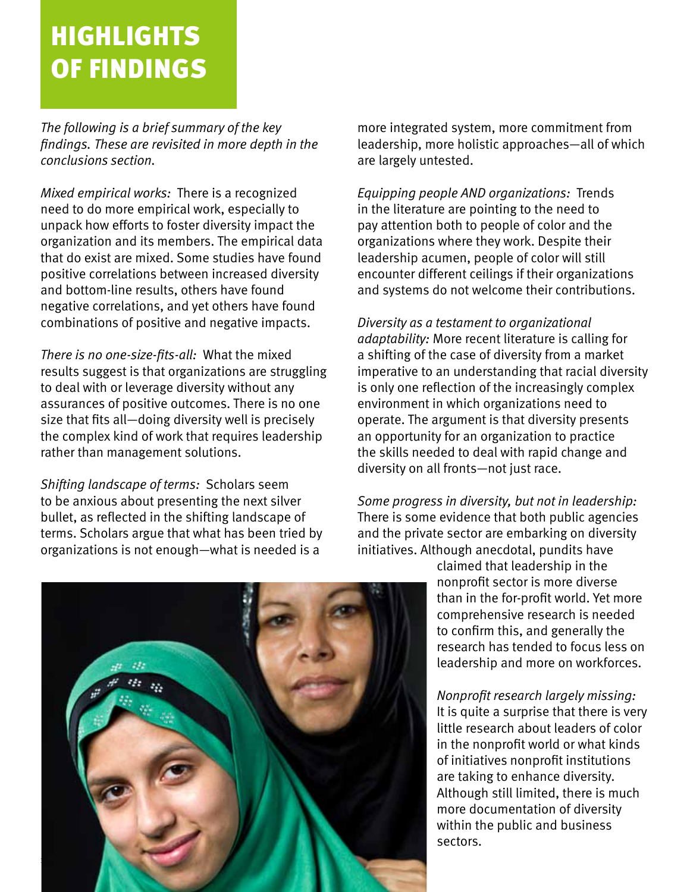# HIGHLIGHTS OF FINDINGS

*The following is a brief summary of the key findings. These are revisited in more depth in the conclusions section.* 

*Mixed empirical works:* There is a recognized need to do more empirical work, especially to unpack how efforts to foster diversity impact the organization and its members. The empirical data that do exist are mixed. Some studies have found positive correlations between increased diversity and bottom-line results, others have found negative correlations, and yet others have found combinations of positive and negative impacts.

*There is no one-size-fits-all:* What the mixed results suggest is that organizations are struggling to deal with or leverage diversity without any assurances of positive outcomes. There is no one size that fits all—doing diversity well is precisely the complex kind of work that requires leadership rather than management solutions.

*Shifting landscape of terms:* Scholars seem to be anxious about presenting the next silver bullet, as reflected in the shifting landscape of terms. Scholars argue that what has been tried by organizations is not enough—what is needed is a

more integrated system, more commitment from leadership, more holistic approaches—all of which are largely untested.

*Equipping people AND organizations:* Trends in the literature are pointing to the need to pay attention both to people of color and the organizations where they work. Despite their leadership acumen, people of color will still encounter different ceilings if their organizations and systems do not welcome their contributions.

*Diversity as a testament to organizational adaptability:* More recent literature is calling for a shifting of the case of diversity from a market imperative to an understanding that racial diversity is only one reflection of the increasingly complex environment in which organizations need to operate. The argument is that diversity presents an opportunity for an organization to practice the skills needed to deal with rapid change and diversity on all fronts—not just race.

*Some progress in diversity, but not in leadership:* There is some evidence that both public agencies and the private sector are embarking on diversity initiatives. Although anecdotal, pundits have

claimed that leadership in the nonprofit sector is more diverse than in the for-profit world. Yet more comprehensive research is needed to confirm this, and generally the research has tended to focus less on leadership and more on workforces.

*Nonprofit research largely missing:* It is quite a surprise that there is very little research about leaders of color in the nonprofit world or what kinds of initiatives nonprofit institutions are taking to enhance diversity. Although still limited, there is much more documentation of diversity within the public and business sectors.

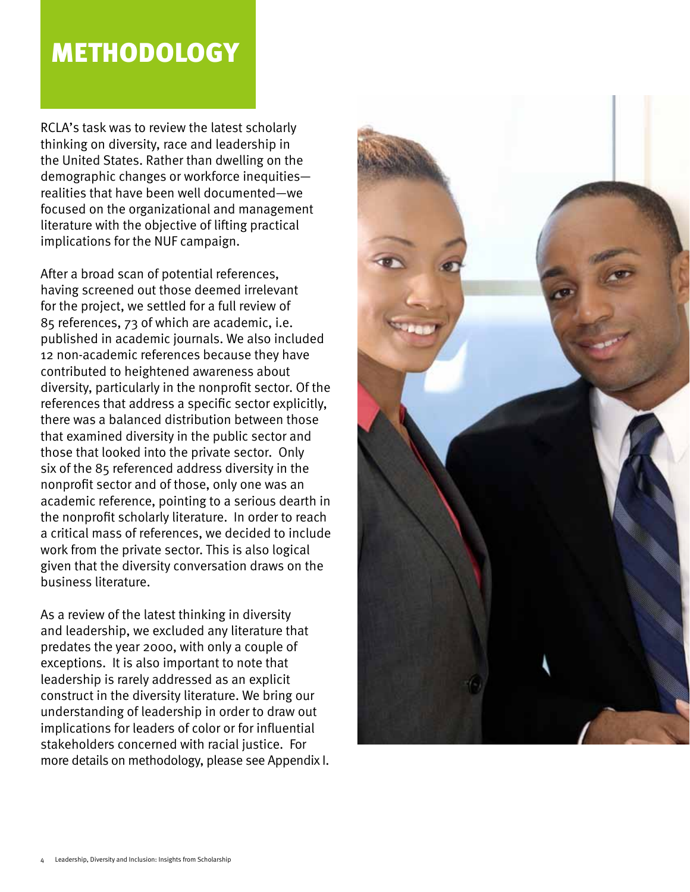### METHODOLOGY

RCLA's task was to review the latest scholarly thinking on diversity, race and leadership in the United States. Rather than dwelling on the demographic changes or workforce inequities realities that have been well documented—we focused on the organizational and management literature with the objective of lifting practical implications for the NUF campaign.

After a broad scan of potential references, having screened out those deemed irrelevant for the project, we settled for a full review of 85 references, 73 of which are academic, i.e. published in academic journals. We also included 12 non-academic references because they have contributed to heightened awareness about diversity, particularly in the nonprofit sector. Of the references that address a specific sector explicitly, there was a balanced distribution between those that examined diversity in the public sector and those that looked into the private sector. Only six of the 85 referenced address diversity in the nonprofit sector and of those, only one was an academic reference, pointing to a serious dearth in the nonprofit scholarly literature. In order to reach a critical mass of references, we decided to include work from the private sector. This is also logical given that the diversity conversation draws on the business literature.

As a review of the latest thinking in diversity and leadership, we excluded any literature that predates the year 2000, with only a couple of exceptions. It is also important to note that leadership is rarely addressed as an explicit construct in the diversity literature. We bring our understanding of leadership in order to draw out implications for leaders of color or for influential stakeholders concerned with racial justice. For more details on methodology, please see Appendix I.

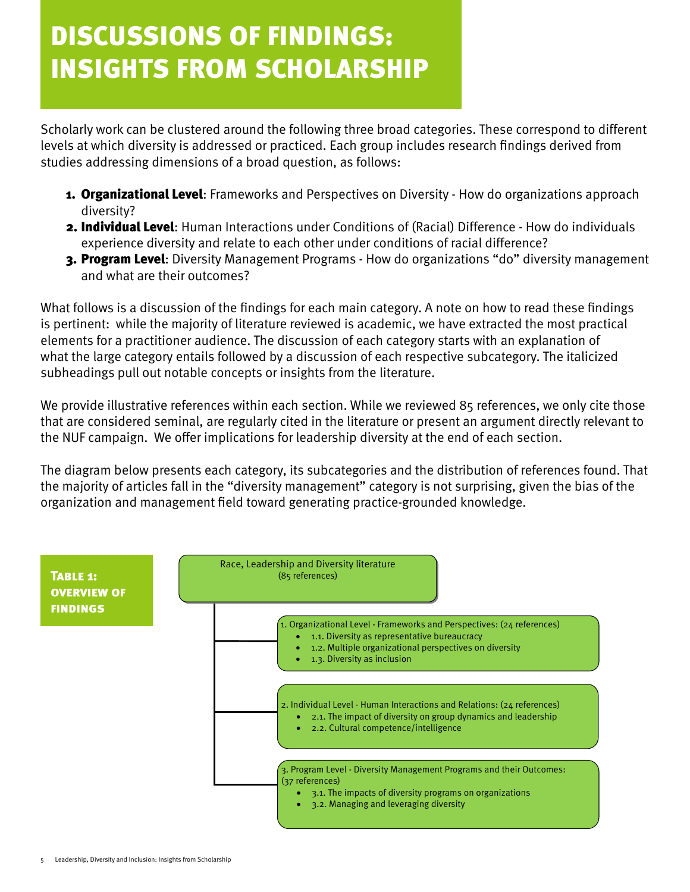# discussions of findings: insights from scholarship

Scholarly work can be clustered around the following three broad categories. These correspond to different levels at which diversity is addressed or practiced. Each group includes research findings derived from studies addressing dimensions of a broad question, as follows:

- **1. Organizational Level:** Frameworks and Perspectives on Diversity How do organizations approach diversity?
- 2. Individual Level: Human Interactions under Conditions of (Racial) Difference How do individuals experience diversity and relate to each other under conditions of racial difference?
- 3. Program Level: Diversity Management Programs How do organizations "do" diversity management and what are their outcomes?

What follows is a discussion of the findings for each main category. A note on how to read these findings is pertinent: while the majority of literature reviewed is academic, we have extracted the most practical elements for a practitioner audience. The discussion of each category starts with an explanation of what the large category entails followed by a discussion of each respective subcategory. The italicized subheadings pull out notable concepts or insights from the literature.

We provide illustrative references within each section. While we reviewed 85 references, we only cite those that are considered seminal, are regularly cited in the literature or present an argument directly relevant to the NUF campaign. We offer implications for leadership diversity at the end of each section.

The diagram below presents each category, its subcategories and the distribution of references found. That the majority of articles fall in the "diversity management" category is not surprising, given the bias of the organization and management field toward generating practice-grounded knowledge.

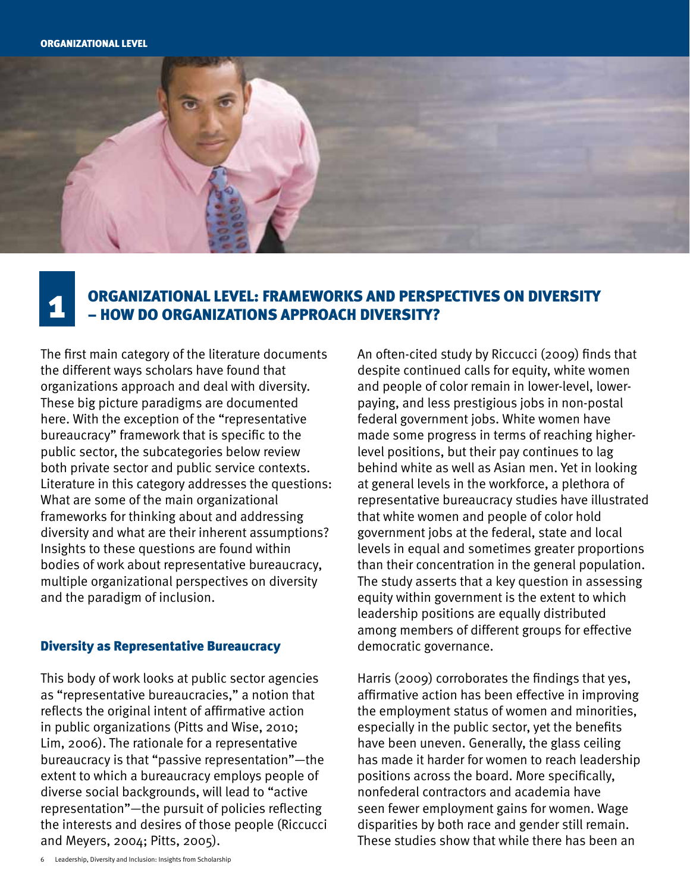

# Organizational Level: Frameworks and Perspectives on Diversity 1 – How do organizations approach diversity?

The first main category of the literature documents the different ways scholars have found that organizations approach and deal with diversity. These big picture paradigms are documented here. With the exception of the "representative bureaucracy" framework that is specific to the public sector, the subcategories below review both private sector and public service contexts. Literature in this category addresses the questions: What are some of the main organizational frameworks for thinking about and addressing diversity and what are their inherent assumptions? Insights to these questions are found within bodies of work about representative bureaucracy, multiple organizational perspectives on diversity and the paradigm of inclusion.

#### Diversity as Representative Bureaucracy

This body of work looks at public sector agencies as "representative bureaucracies," a notion that reflects the original intent of affirmative action in public organizations (Pitts and Wise, 2010; Lim, 2006). The rationale for a representative bureaucracy is that "passive representation"—the extent to which a bureaucracy employs people of diverse social backgrounds, will lead to "active representation"—the pursuit of policies reflecting the interests and desires of those people (Riccucci and Meyers, 2004; Pitts, 2005).

An often-cited study by Riccucci (2009) finds that despite continued calls for equity, white women and people of color remain in lower-level, lowerpaying, and less prestigious jobs in non-postal federal government jobs. White women have made some progress in terms of reaching higherlevel positions, but their pay continues to lag behind white as well as Asian men. Yet in looking at general levels in the workforce, a plethora of representative bureaucracy studies have illustrated that white women and people of color hold government jobs at the federal, state and local levels in equal and sometimes greater proportions than their concentration in the general population. The study asserts that a key question in assessing equity within government is the extent to which leadership positions are equally distributed among members of different groups for effective democratic governance.

Harris (2009) corroborates the findings that yes, affirmative action has been effective in improving the employment status of women and minorities, especially in the public sector, yet the benefits have been uneven. Generally, the glass ceiling has made it harder for women to reach leadership positions across the board. More specifically, nonfederal contractors and academia have seen fewer employment gains for women. Wage disparities by both race and gender still remain. These studies show that while there has been an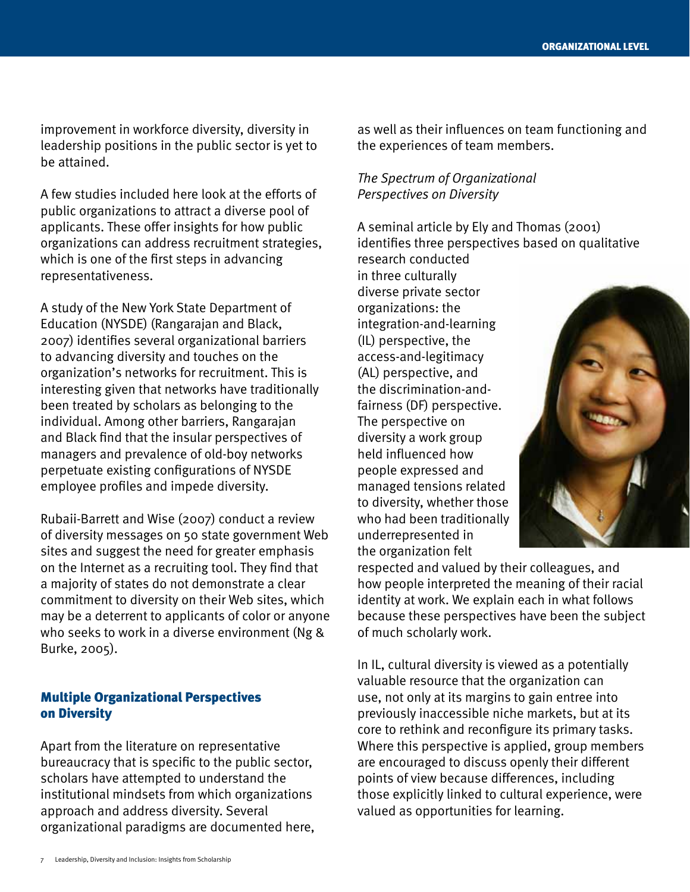improvement in workforce diversity, diversity in leadership positions in the public sector is yet to be attained.

A few studies included here look at the efforts of public organizations to attract a diverse pool of applicants. These offer insights for how public organizations can address recruitment strategies, which is one of the first steps in advancing representativeness.

A study of the New York State Department of Education (NYSDE) (Rangarajan and Black, 2007) identifies several organizational barriers to advancing diversity and touches on the organization's networks for recruitment. This is interesting given that networks have traditionally been treated by scholars as belonging to the individual. Among other barriers, Rangarajan and Black find that the insular perspectives of managers and prevalence of old-boy networks perpetuate existing configurations of NYSDE employee profiles and impede diversity.

Rubaii-Barrett and Wise (2007) conduct a review of diversity messages on 50 state government Web sites and suggest the need for greater emphasis on the Internet as a recruiting tool. They find that a majority of states do not demonstrate a clear commitment to diversity on their Web sites, which may be a deterrent to applicants of color or anyone who seeks to work in a diverse environment (Ng & Burke, 2005).

#### Multiple Organizational Perspectives on Diversity

Apart from the literature on representative bureaucracy that is specific to the public sector, scholars have attempted to understand the institutional mindsets from which organizations approach and address diversity. Several organizational paradigms are documented here,

as well as their influences on team functioning and the experiences of team members.

#### *The Spectrum of Organizational Perspectives on Diversity*

A seminal article by Ely and Thomas (2001) identifies three perspectives based on qualitative

research conducted in three culturally diverse private sector organizations: the integration-and-learning (IL) perspective, the access-and-legitimacy (AL) perspective, and the discrimination-andfairness (DF) perspective. The perspective on diversity a work group held influenced how people expressed and managed tensions related to diversity, whether those who had been traditionally underrepresented in the organization felt



respected and valued by their colleagues, and how people interpreted the meaning of their racial identity at work. We explain each in what follows because these perspectives have been the subject of much scholarly work.

In IL, cultural diversity is viewed as a potentially valuable resource that the organization can use, not only at its margins to gain entree into previously inaccessible niche markets, but at its core to rethink and reconfigure its primary tasks. Where this perspective is applied, group members are encouraged to discuss openly their different points of view because differences, including those explicitly linked to cultural experience, were valued as opportunities for learning.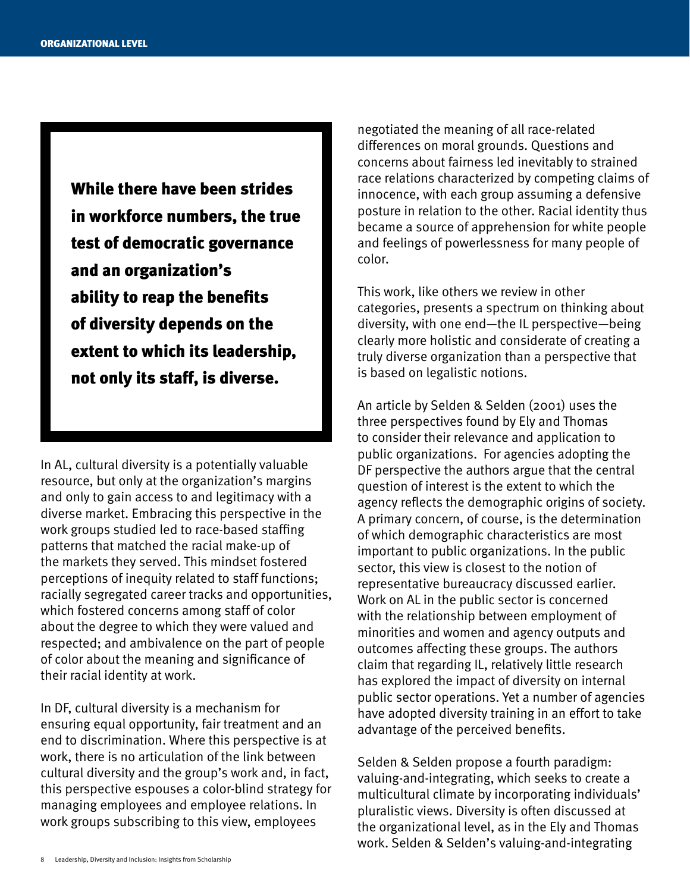While there have been strides in workforce numbers, the true test of democratic governance and an organization's ability to reap the benefits of diversity depends on the extent to which its leadership, not only its staff, is diverse.

In AL, cultural diversity is a potentially valuable resource, but only at the organization's margins and only to gain access to and legitimacy with a diverse market. Embracing this perspective in the work groups studied led to race-based staffing patterns that matched the racial make-up of the markets they served. This mindset fostered perceptions of inequity related to staff functions; racially segregated career tracks and opportunities, which fostered concerns among staff of color about the degree to which they were valued and respected; and ambivalence on the part of people of color about the meaning and significance of their racial identity at work.

In DF, cultural diversity is a mechanism for ensuring equal opportunity, fair treatment and an end to discrimination. Where this perspective is at work, there is no articulation of the link between cultural diversity and the group's work and, in fact, this perspective espouses a color-blind strategy for managing employees and employee relations. In work groups subscribing to this view, employees

negotiated the meaning of all race-related differences on moral grounds. Questions and concerns about fairness led inevitably to strained race relations characterized by competing claims of innocence, with each group assuming a defensive posture in relation to the other. Racial identity thus became a source of apprehension for white people and feelings of powerlessness for many people of color.

This work, like others we review in other categories, presents a spectrum on thinking about diversity, with one end—the IL perspective—being clearly more holistic and considerate of creating a truly diverse organization than a perspective that is based on legalistic notions.

An article by Selden & Selden (2001) uses the three perspectives found by Ely and Thomas to consider their relevance and application to public organizations. For agencies adopting the DF perspective the authors argue that the central question of interest is the extent to which the agency reflects the demographic origins of society. A primary concern, of course, is the determination of which demographic characteristics are most important to public organizations. In the public sector, this view is closest to the notion of representative bureaucracy discussed earlier. Work on AL in the public sector is concerned with the relationship between employment of minorities and women and agency outputs and outcomes affecting these groups. The authors claim that regarding IL, relatively little research has explored the impact of diversity on internal public sector operations. Yet a number of agencies have adopted diversity training in an effort to take advantage of the perceived benefits.

Selden & Selden propose a fourth paradigm: valuing-and-integrating, which seeks to create a multicultural climate by incorporating individuals' pluralistic views. Diversity is often discussed at the organizational level, as in the Ely and Thomas work. Selden & Selden's valuing-and-integrating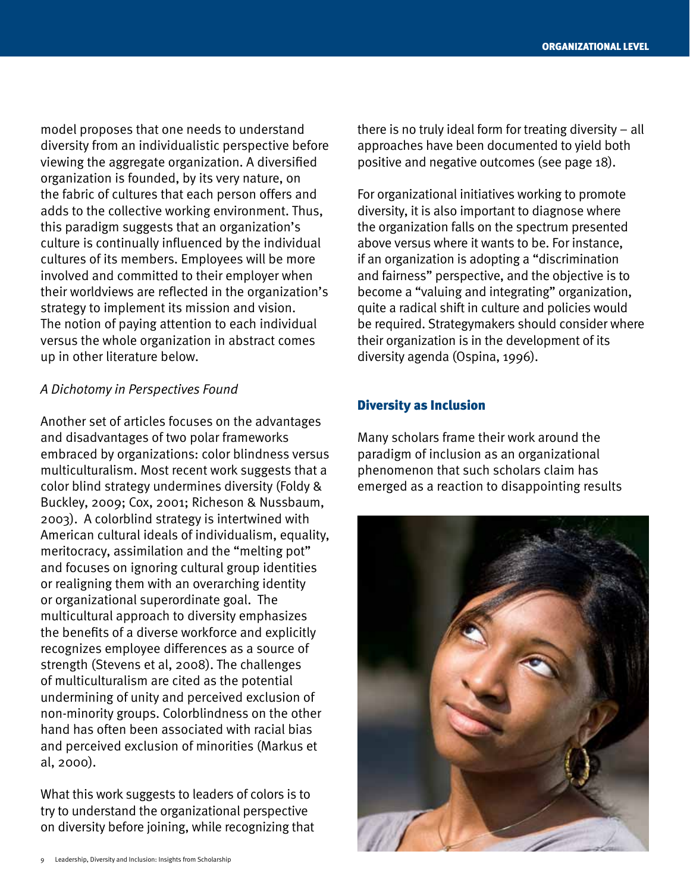model proposes that one needs to understand diversity from an individualistic perspective before viewing the aggregate organization. A diversified organization is founded, by its very nature, on the fabric of cultures that each person offers and adds to the collective working environment. Thus, this paradigm suggests that an organization's culture is continually influenced by the individual cultures of its members. Employees will be more involved and committed to their employer when their worldviews are reflected in the organization's strategy to implement its mission and vision. The notion of paying attention to each individual versus the whole organization in abstract comes up in other literature below.

#### *A Dichotomy in Perspectives Found*

Another set of articles focuses on the advantages and disadvantages of two polar frameworks embraced by organizations: color blindness versus multiculturalism. Most recent work suggests that a color blind strategy undermines diversity (Foldy & Buckley, 2009; Cox, 2001; Richeson & Nussbaum, 2003). A colorblind strategy is intertwined with American cultural ideals of individualism, equality, meritocracy, assimilation and the "melting pot" and focuses on ignoring cultural group identities or realigning them with an overarching identity or organizational superordinate goal. The multicultural approach to diversity emphasizes the benefits of a diverse workforce and explicitly recognizes employee differences as a source of strength (Stevens et al, 2008). The challenges of multiculturalism are cited as the potential undermining of unity and perceived exclusion of non-minority groups. Colorblindness on the other hand has often been associated with racial bias and perceived exclusion of minorities (Markus et al, 2000).

What this work suggests to leaders of colors is to try to understand the organizational perspective on diversity before joining, while recognizing that there is no truly ideal form for treating diversity – all approaches have been documented to yield both positive and negative outcomes (see page 18).

For organizational initiatives working to promote diversity, it is also important to diagnose where the organization falls on the spectrum presented above versus where it wants to be. For instance, if an organization is adopting a "discrimination and fairness" perspective, and the objective is to become a "valuing and integrating" organization, quite a radical shift in culture and policies would be required. Strategymakers should consider where their organization is in the development of its diversity agenda (Ospina, 1996).

#### Diversity as Inclusion

Many scholars frame their work around the paradigm of inclusion as an organizational phenomenon that such scholars claim has emerged as a reaction to disappointing results

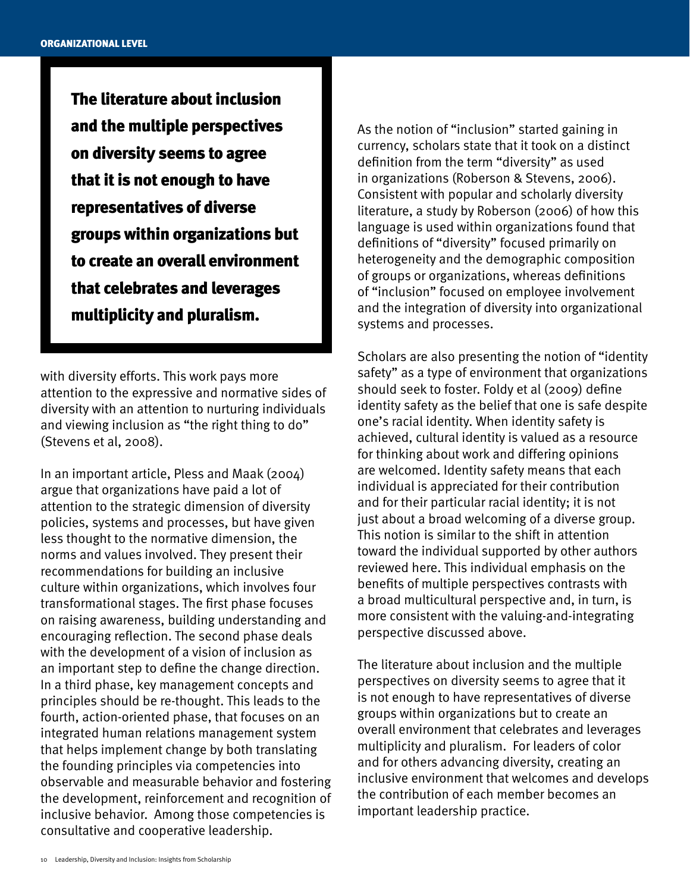The literature about inclusion and the multiple perspectives on diversity seems to agree that it is not enough to have representatives of diverse groups within organizations but to create an overall environment that celebrates and leverages multiplicity and pluralism.

with diversity efforts. This work pays more attention to the expressive and normative sides of diversity with an attention to nurturing individuals and viewing inclusion as "the right thing to do" (Stevens et al, 2008).

In an important article, Pless and Maak (2004) argue that organizations have paid a lot of attention to the strategic dimension of diversity policies, systems and processes, but have given less thought to the normative dimension, the norms and values involved. They present their recommendations for building an inclusive culture within organizations, which involves four transformational stages. The first phase focuses on raising awareness, building understanding and encouraging reflection. The second phase deals with the development of a vision of inclusion as an important step to define the change direction. In a third phase, key management concepts and principles should be re-thought. This leads to the fourth, action-oriented phase, that focuses on an integrated human relations management system that helps implement change by both translating the founding principles via competencies into observable and measurable behavior and fostering the development, reinforcement and recognition of inclusive behavior. Among those competencies is consultative and cooperative leadership.

As the notion of "inclusion" started gaining in currency, scholars state that it took on a distinct definition from the term "diversity" as used in organizations (Roberson & Stevens, 2006). Consistent with popular and scholarly diversity literature, a study by Roberson (2006) of how this language is used within organizations found that definitions of "diversity" focused primarily on heterogeneity and the demographic composition of groups or organizations, whereas definitions of "inclusion" focused on employee involvement and the integration of diversity into organizational systems and processes.

Scholars are also presenting the notion of "identity safety" as a type of environment that organizations should seek to foster. Foldy et al (2009) define identity safety as the belief that one is safe despite one's racial identity. When identity safety is achieved, cultural identity is valued as a resource for thinking about work and differing opinions are welcomed. Identity safety means that each individual is appreciated for their contribution and for their particular racial identity; it is not just about a broad welcoming of a diverse group. This notion is similar to the shift in attention toward the individual supported by other authors reviewed here. This individual emphasis on the benefits of multiple perspectives contrasts with a broad multicultural perspective and, in turn, is more consistent with the valuing-and-integrating perspective discussed above.

The literature about inclusion and the multiple perspectives on diversity seems to agree that it is not enough to have representatives of diverse groups within organizations but to create an overall environment that celebrates and leverages multiplicity and pluralism. For leaders of color and for others advancing diversity, creating an inclusive environment that welcomes and develops the contribution of each member becomes an important leadership practice.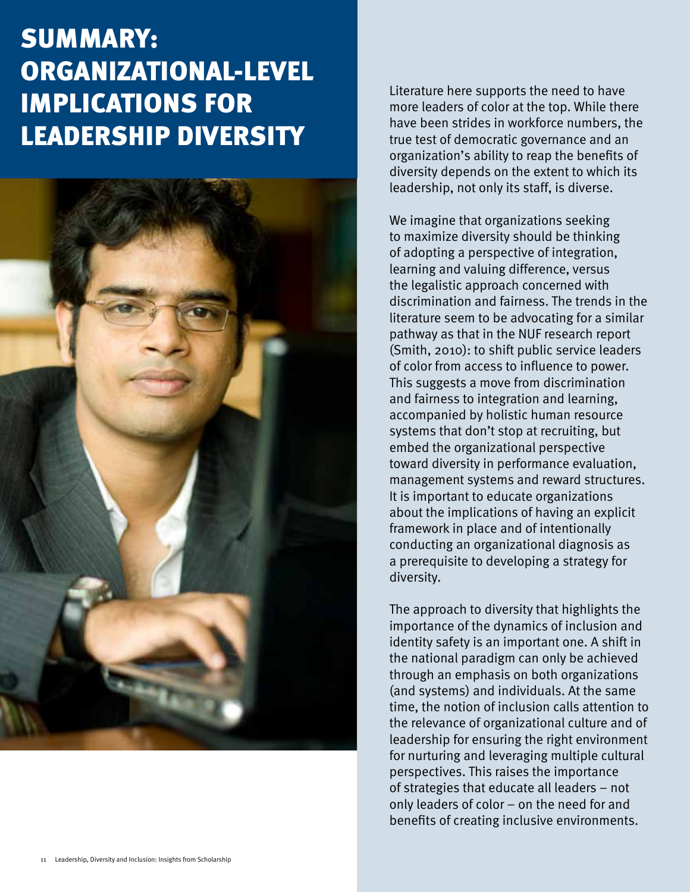## summary: Organizational-level implications for leadership diversity



Literature here supports the need to have more leaders of color at the top. While there have been strides in workforce numbers, the true test of democratic governance and an organization's ability to reap the benefits of diversity depends on the extent to which its leadership, not only its staff, is diverse.

We imagine that organizations seeking to maximize diversity should be thinking of adopting a perspective of integration, learning and valuing difference, versus the legalistic approach concerned with discrimination and fairness. The trends in the literature seem to be advocating for a similar pathway as that in the NUF research report (Smith, 2010): to shift public service leaders of color from access to influence to power. This suggests a move from discrimination and fairness to integration and learning, accompanied by holistic human resource systems that don't stop at recruiting, but embed the organizational perspective toward diversity in performance evaluation, management systems and reward structures. It is important to educate organizations about the implications of having an explicit framework in place and of intentionally conducting an organizational diagnosis as a prerequisite to developing a strategy for diversity.

The approach to diversity that highlights the importance of the dynamics of inclusion and identity safety is an important one. A shift in the national paradigm can only be achieved through an emphasis on both organizations (and systems) and individuals. At the same time, the notion of inclusion calls attention to the relevance of organizational culture and of leadership for ensuring the right environment for nurturing and leveraging multiple cultural perspectives. This raises the importance of strategies that educate all leaders – not only leaders of color – on the need for and benefits of creating inclusive environments.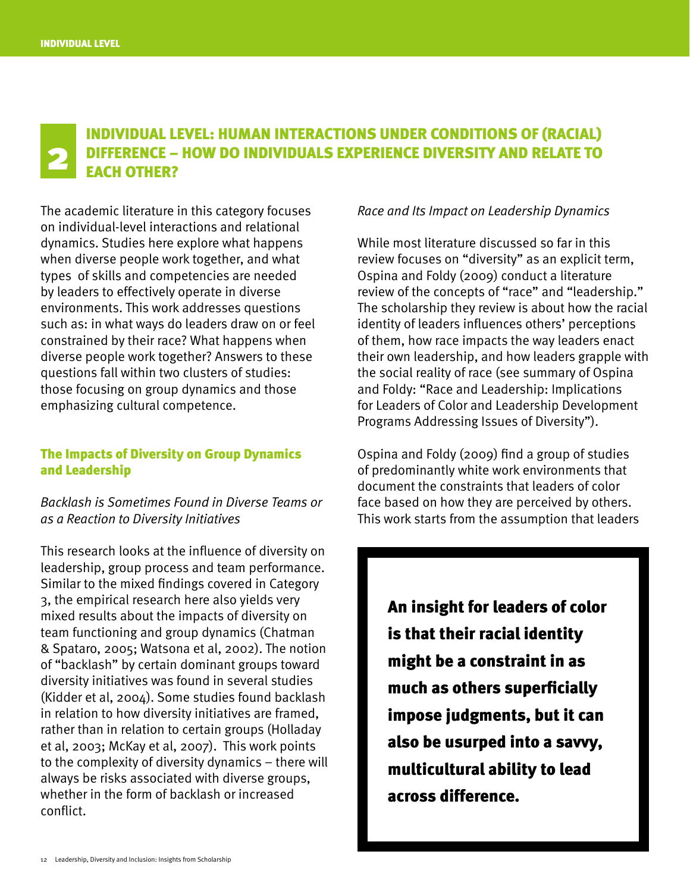### Individual Level: Human Interactions under Conditions of (Racial) DIFFERENCE – HOW DO INDIVIDUALS EXPERIENCE DIVERSITY AND RELATE TO EACH OTHER?

The academic literature in this category focuses on individual-level interactions and relational dynamics. Studies here explore what happens when diverse people work together, and what types of skills and competencies are needed by leaders to effectively operate in diverse environments. This work addresses questions such as: in what ways do leaders draw on or feel constrained by their race? What happens when diverse people work together? Answers to these questions fall within two clusters of studies: those focusing on group dynamics and those emphasizing cultural competence.

#### The Impacts of Diversity on Group Dynamics and Leadership

*Backlash is Sometimes Found in Diverse Teams or as a Reaction to Diversity Initiatives*

This research looks at the influence of diversity on leadership, group process and team performance. Similar to the mixed findings covered in Category 3, the empirical research here also yields very mixed results about the impacts of diversity on team functioning and group dynamics (Chatman & Spataro, 2005; Watsona et al, 2002). The notion of "backlash" by certain dominant groups toward diversity initiatives was found in several studies (Kidder et al, 2004). Some studies found backlash in relation to how diversity initiatives are framed, rather than in relation to certain groups (Holladay et al, 2003; McKay et al, 2007). This work points to the complexity of diversity dynamics – there will always be risks associated with diverse groups, whether in the form of backlash or increased conflict.

#### *Race and Its Impact on Leadership Dynamics*

While most literature discussed so far in this review focuses on "diversity" as an explicit term, Ospina and Foldy (2009) conduct a literature review of the concepts of "race" and "leadership." The scholarship they review is about how the racial identity of leaders influences others' perceptions of them, how race impacts the way leaders enact their own leadership, and how leaders grapple with the social reality of race (see summary of Ospina and Foldy: "Race and Leadership: Implications for Leaders of Color and Leadership Development Programs Addressing Issues of Diversity").

Ospina and Foldy (2009) find a group of studies of predominantly white work environments that document the constraints that leaders of color face based on how they are perceived by others. This work starts from the assumption that leaders

> An insight for leaders of color is that their racial identity might be a constraint in as much as others superficially impose judgments, but it can also be usurped into a savvy, multicultural ability to lead across difference.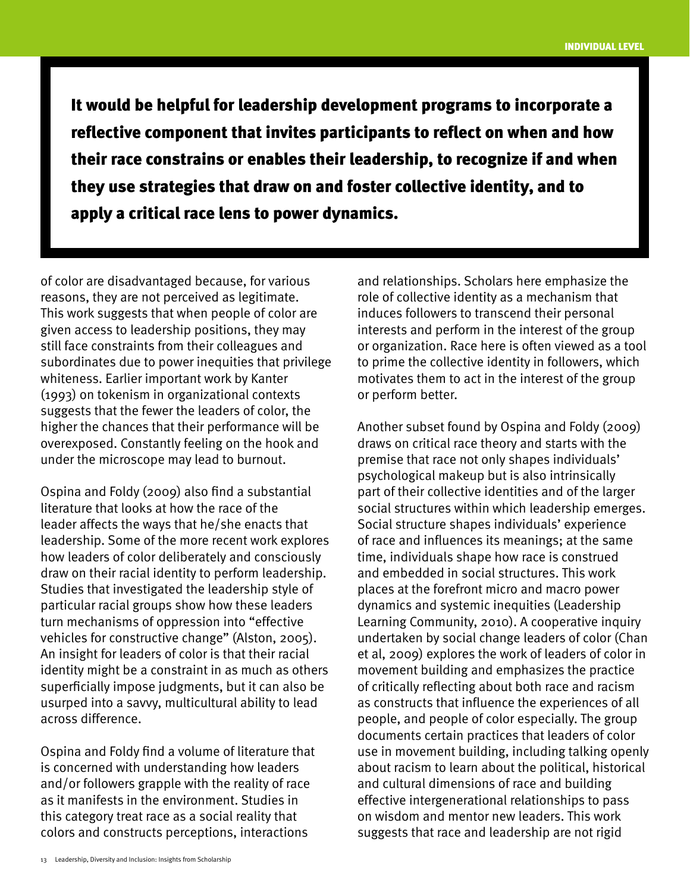It would be helpful for leadership development programs to incorporate a reflective component that invites participants to reflect on when and how their race constrains or enables their leadership, to recognize if and when they use strategies that draw on and foster collective identity, and to apply a critical race lens to power dynamics.

of color are disadvantaged because, for various reasons, they are not perceived as legitimate. This work suggests that when people of color are given access to leadership positions, they may still face constraints from their colleagues and subordinates due to power inequities that privilege whiteness. Earlier important work by Kanter (1993) on tokenism in organizational contexts suggests that the fewer the leaders of color, the higher the chances that their performance will be overexposed. Constantly feeling on the hook and under the microscope may lead to burnout.

Ospina and Foldy (2009) also find a substantial literature that looks at how the race of the leader affects the ways that he/she enacts that leadership. Some of the more recent work explores how leaders of color deliberately and consciously draw on their racial identity to perform leadership. Studies that investigated the leadership style of particular racial groups show how these leaders turn mechanisms of oppression into "effective vehicles for constructive change" (Alston, 2005). An insight for leaders of color is that their racial identity might be a constraint in as much as others superficially impose judgments, but it can also be usurped into a savvy, multicultural ability to lead across difference.

Ospina and Foldy find a volume of literature that is concerned with understanding how leaders and/or followers grapple with the reality of race as it manifests in the environment. Studies in this category treat race as a social reality that colors and constructs perceptions, interactions

and relationships. Scholars here emphasize the role of collective identity as a mechanism that induces followers to transcend their personal interests and perform in the interest of the group or organization. Race here is often viewed as a tool to prime the collective identity in followers, which motivates them to act in the interest of the group or perform better.

Another subset found by Ospina and Foldy (2009) draws on critical race theory and starts with the premise that race not only shapes individuals' psychological makeup but is also intrinsically part of their collective identities and of the larger social structures within which leadership emerges. Social structure shapes individuals' experience of race and influences its meanings; at the same time, individuals shape how race is construed and embedded in social structures. This work places at the forefront micro and macro power dynamics and systemic inequities (Leadership Learning Community, 2010). A cooperative inquiry undertaken by social change leaders of color (Chan et al, 2009) explores the work of leaders of color in movement building and emphasizes the practice of critically reflecting about both race and racism as constructs that influence the experiences of all people, and people of color especially. The group documents certain practices that leaders of color use in movement building, including talking openly about racism to learn about the political, historical and cultural dimensions of race and building effective intergenerational relationships to pass on wisdom and mentor new leaders. This work suggests that race and leadership are not rigid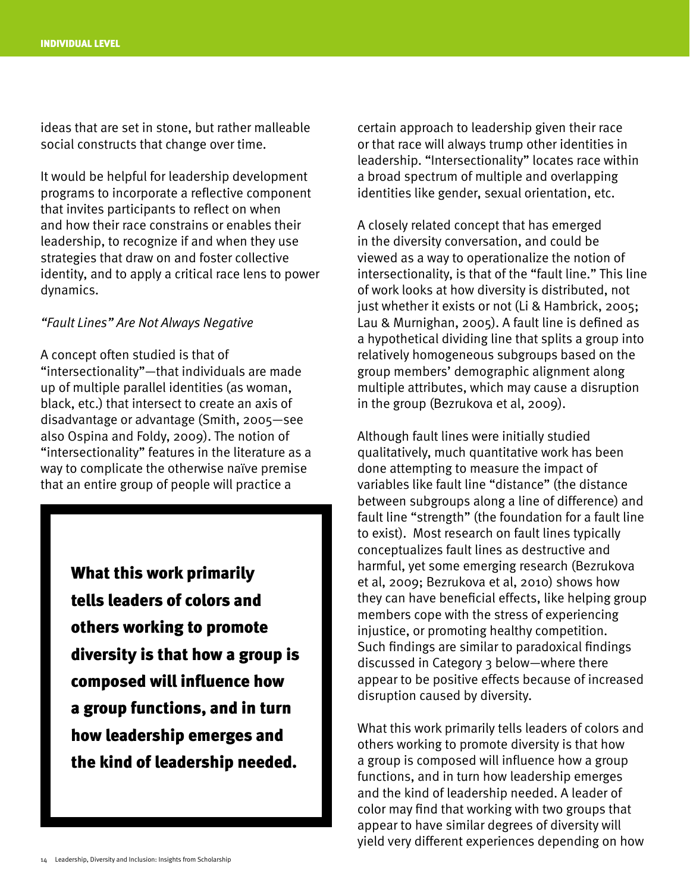ideas that are set in stone, but rather malleable social constructs that change over time.

It would be helpful for leadership development programs to incorporate a reflective component that invites participants to reflect on when and how their race constrains or enables their leadership, to recognize if and when they use strategies that draw on and foster collective identity, and to apply a critical race lens to power dynamics.

#### *"Fault Lines" Are Not Always Negative*

A concept often studied is that of "intersectionality"—that individuals are made up of multiple parallel identities (as woman, black, etc.) that intersect to create an axis of disadvantage or advantage (Smith, 2005—see also Ospina and Foldy, 2009). The notion of "intersectionality" features in the literature as a way to complicate the otherwise naïve premise that an entire group of people will practice a

> What this work primarily tells leaders of colors and others working to promote diversity is that how a group is composed will influence how a group functions, and in turn how leadership emerges and the kind of leadership needed.

certain approach to leadership given their race or that race will always trump other identities in leadership. "Intersectionality" locates race within a broad spectrum of multiple and overlapping identities like gender, sexual orientation, etc.

A closely related concept that has emerged in the diversity conversation, and could be viewed as a way to operationalize the notion of intersectionality, is that of the "fault line." This line of work looks at how diversity is distributed, not just whether it exists or not (Li & Hambrick, 2005; Lau & Murnighan, 2005). A fault line is defined as a hypothetical dividing line that splits a group into relatively homogeneous subgroups based on the group members' demographic alignment along multiple attributes, which may cause a disruption in the group (Bezrukova et al, 2009).

Although fault lines were initially studied qualitatively, much quantitative work has been done attempting to measure the impact of variables like fault line "distance" (the distance between subgroups along a line of difference) and fault line "strength" (the foundation for a fault line to exist). Most research on fault lines typically conceptualizes fault lines as destructive and harmful, yet some emerging research (Bezrukova et al, 2009; Bezrukova et al, 2010) shows how they can have beneficial effects, like helping group members cope with the stress of experiencing injustice, or promoting healthy competition. Such findings are similar to paradoxical findings discussed in Category 3 below—where there appear to be positive effects because of increased disruption caused by diversity.

What this work primarily tells leaders of colors and others working to promote diversity is that how a group is composed will influence how a group functions, and in turn how leadership emerges and the kind of leadership needed. A leader of color may find that working with two groups that appear to have similar degrees of diversity will yield very different experiences depending on how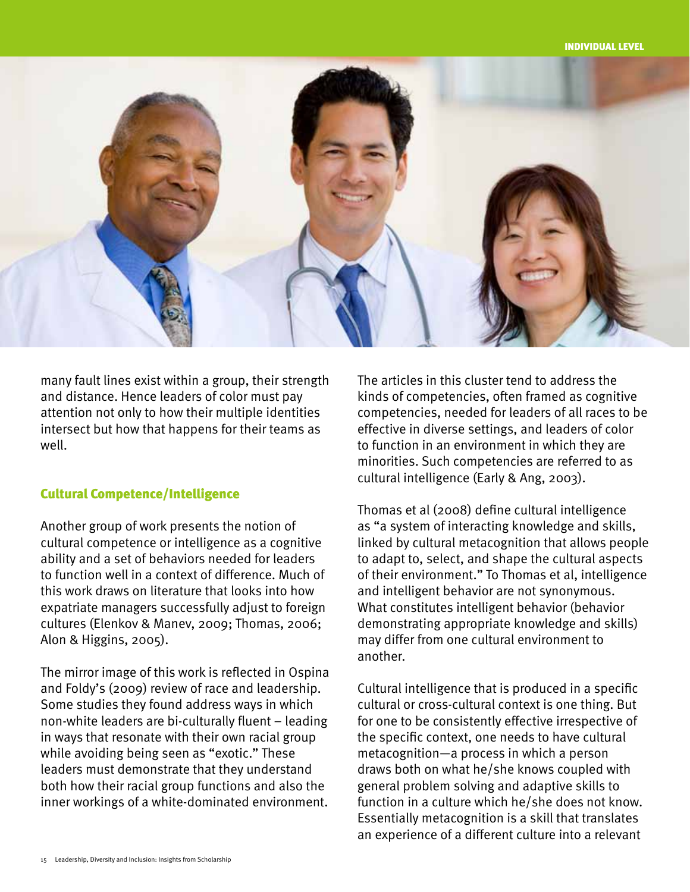

many fault lines exist within a group, their strength and distance. Hence leaders of color must pay attention not only to how their multiple identities intersect but how that happens for their teams as well.

#### Cultural Competence/Intelligence

Another group of work presents the notion of cultural competence or intelligence as a cognitive ability and a set of behaviors needed for leaders to function well in a context of difference. Much of this work draws on literature that looks into how expatriate managers successfully adjust to foreign cultures (Elenkov & Manev, 2009; Thomas, 2006; Alon & Higgins, 2005).

The mirror image of this work is reflected in Ospina and Foldy's (2009) review of race and leadership. Some studies they found address ways in which non-white leaders are bi-culturally fluent – leading in ways that resonate with their own racial group while avoiding being seen as "exotic." These leaders must demonstrate that they understand both how their racial group functions and also the inner workings of a white-dominated environment.

The articles in this cluster tend to address the kinds of competencies, often framed as cognitive competencies, needed for leaders of all races to be effective in diverse settings, and leaders of color to function in an environment in which they are minorities. Such competencies are referred to as cultural intelligence (Early & Ang, 2003).

Thomas et al (2008) define cultural intelligence as "a system of interacting knowledge and skills, linked by cultural metacognition that allows people to adapt to, select, and shape the cultural aspects of their environment." To Thomas et al, intelligence and intelligent behavior are not synonymous. What constitutes intelligent behavior (behavior demonstrating appropriate knowledge and skills) may differ from one cultural environment to another.

Cultural intelligence that is produced in a specific cultural or cross-cultural context is one thing. But for one to be consistently effective irrespective of the specific context, one needs to have cultural metacognition—a process in which a person draws both on what he/she knows coupled with general problem solving and adaptive skills to function in a culture which he/she does not know. Essentially metacognition is a skill that translates an experience of a different culture into a relevant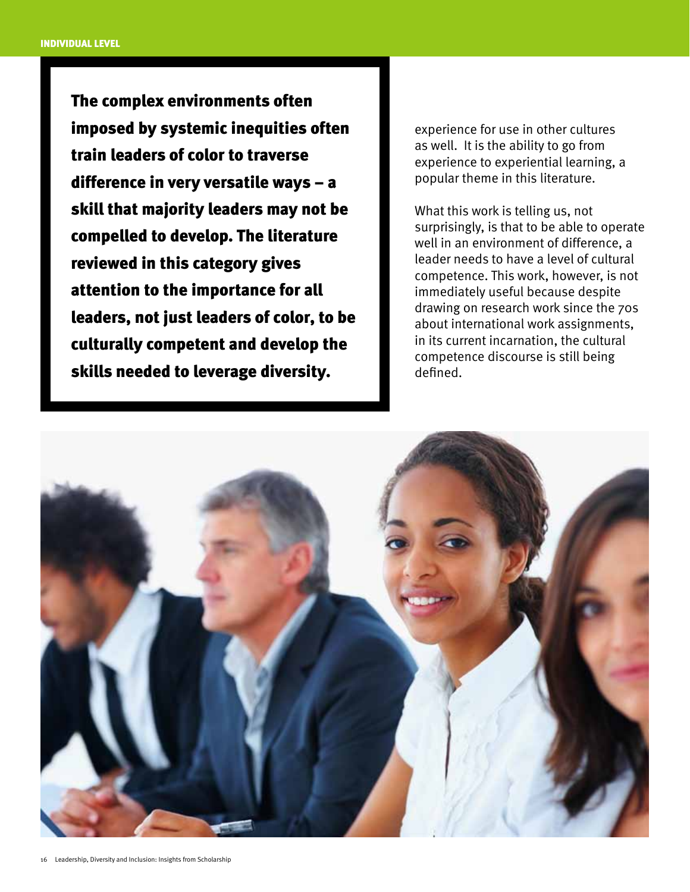The complex environments often imposed by systemic inequities often train leaders of color to traverse difference in very versatile ways – a skill that majority leaders may not be compelled to develop. The literature reviewed in this category gives attention to the importance for all leaders, not just leaders of color, to be culturally competent and develop the skills needed to leverage diversity.

experience for use in other cultures as well. It is the ability to go from experience to experiential learning, a popular theme in this literature.

What this work is telling us, not surprisingly, is that to be able to operate well in an environment of difference, a leader needs to have a level of cultural competence. This work, however, is not immediately useful because despite drawing on research work since the 70s about international work assignments, in its current incarnation, the cultural competence discourse is still being defined.

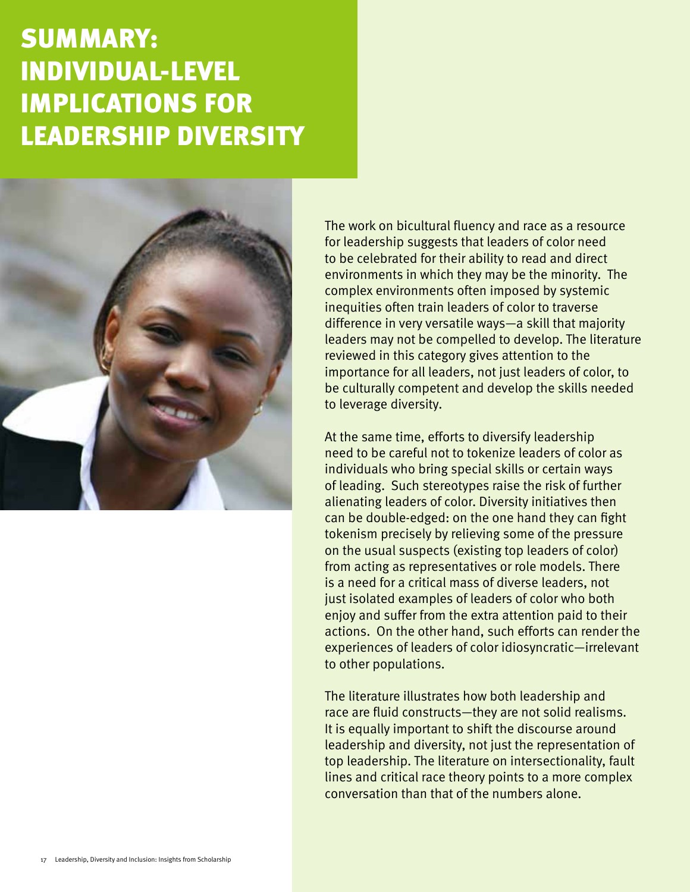# summary: individual-level implications for leadership diversity



The work on bicultural fluency and race as a resource for leadership suggests that leaders of color need to be celebrated for their ability to read and direct environments in which they may be the minority. The complex environments often imposed by systemic inequities often train leaders of color to traverse difference in very versatile ways—a skill that majority leaders may not be compelled to develop. The literature reviewed in this category gives attention to the importance for all leaders, not just leaders of color, to be culturally competent and develop the skills needed to leverage diversity.

At the same time, efforts to diversify leadership need to be careful not to tokenize leaders of color as individuals who bring special skills or certain ways of leading. Such stereotypes raise the risk of further alienating leaders of color. Diversity initiatives then can be double-edged: on the one hand they can fight tokenism precisely by relieving some of the pressure on the usual suspects (existing top leaders of color) from acting as representatives or role models. There is a need for a critical mass of diverse leaders, not just isolated examples of leaders of color who both enjoy and suffer from the extra attention paid to their actions. On the other hand, such efforts can render the experiences of leaders of color idiosyncratic—irrelevant to other populations.

The literature illustrates how both leadership and race are fluid constructs—they are not solid realisms. It is equally important to shift the discourse around leadership and diversity, not just the representation of top leadership. The literature on intersectionality, fault lines and critical race theory points to a more complex conversation than that of the numbers alone.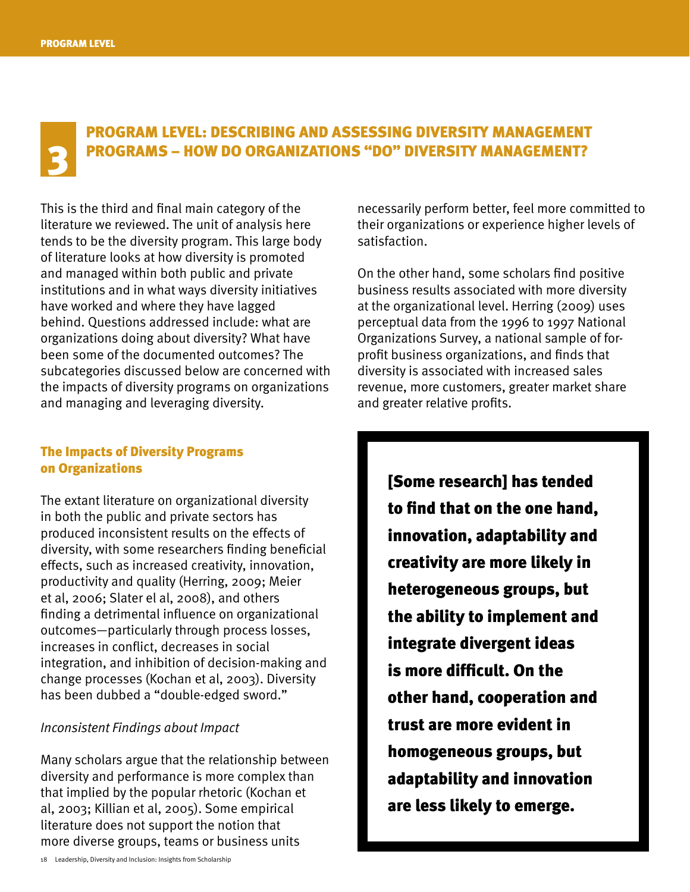### Program Level: Describing and Assessing Diversity Management PROGRAMS – HOW DO ORGANIZATIONS "DO" DIVERSITY MANAGEMENT?

This is the third and final main category of the literature we reviewed. The unit of analysis here tends to be the diversity program. This large body of literature looks at how diversity is promoted and managed within both public and private institutions and in what ways diversity initiatives have worked and where they have lagged behind. Questions addressed include: what are organizations doing about diversity? What have been some of the documented outcomes? The subcategories discussed below are concerned with the impacts of diversity programs on organizations and managing and leveraging diversity.

#### The Impacts of Diversity Programs on Organizations

The extant literature on organizational diversity in both the public and private sectors has produced inconsistent results on the effects of diversity, with some researchers finding beneficial effects, such as increased creativity, innovation, productivity and quality (Herring, 2009; Meier et al, 2006; Slater el al, 2008), and others finding a detrimental influence on organizational outcomes—particularly through process losses, increases in conflict, decreases in social integration, and inhibition of decision-making and change processes (Kochan et al, 2003). Diversity has been dubbed a "double-edged sword."

#### *Inconsistent Findings about Impact*

Many scholars argue that the relationship between diversity and performance is more complex than that implied by the popular rhetoric (Kochan et al, 2003; Killian et al, 2005). Some empirical literature does not support the notion that more diverse groups, teams or business units

necessarily perform better, feel more committed to their organizations or experience higher levels of satisfaction.

On the other hand, some scholars find positive business results associated with more diversity at the organizational level. Herring (2009) uses perceptual data from the 1996 to 1997 National Organizations Survey, a national sample of forprofit business organizations, and finds that diversity is associated with increased sales revenue, more customers, greater market share and greater relative profits.

> [Some research] has tended to find that on the one hand, innovation, adaptability and creativity are more likely in heterogeneous groups, but the ability to implement and integrate divergent ideas is more difficult. On the other hand, cooperation and trust are more evident in homogeneous groups, but adaptability and innovation are less likely to emerge.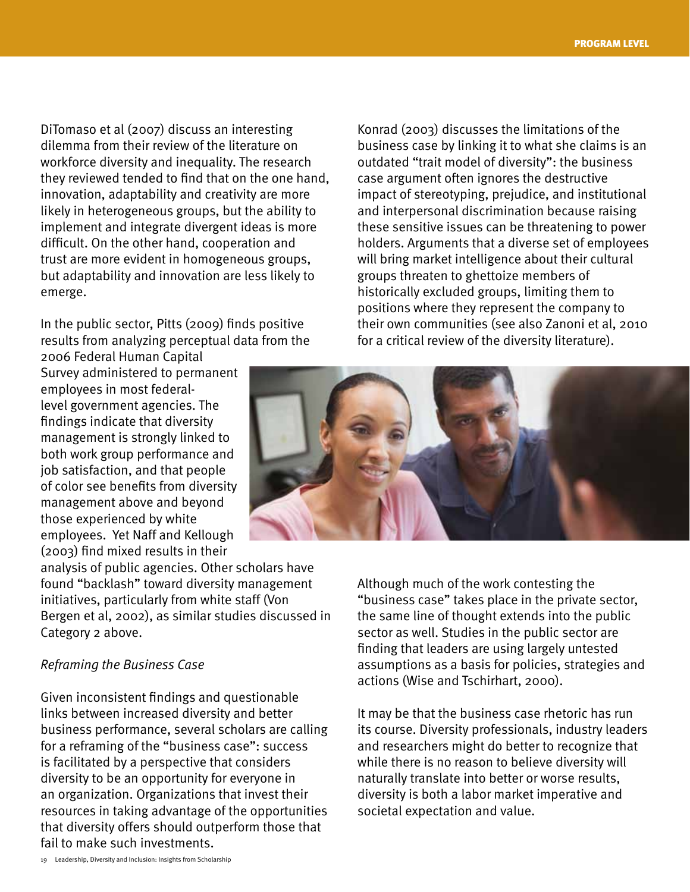DiTomaso et al (2007) discuss an interesting dilemma from their review of the literature on workforce diversity and inequality. The research they reviewed tended to find that on the one hand, innovation, adaptability and creativity are more likely in heterogeneous groups, but the ability to implement and integrate divergent ideas is more difficult. On the other hand, cooperation and trust are more evident in homogeneous groups, but adaptability and innovation are less likely to emerge.

In the public sector, Pitts (2009) finds positive results from analyzing perceptual data from the

2006 Federal Human Capital Survey administered to permanent employees in most federallevel government agencies. The findings indicate that diversity management is strongly linked to both work group performance and job satisfaction, and that people of color see benefits from diversity management above and beyond those experienced by white employees. Yet Naff and Kellough (2003) find mixed results in their

analysis of public agencies. Other scholars have found "backlash" toward diversity management initiatives, particularly from white staff (Von Bergen et al, 2002), as similar studies discussed in Category 2 above.

#### *Reframing the Business Case*

Given inconsistent findings and questionable links between increased diversity and better business performance, several scholars are calling for a reframing of the "business case": success is facilitated by a perspective that considers diversity to be an opportunity for everyone in an organization. Organizations that invest their resources in taking advantage of the opportunities that diversity offers should outperform those that fail to make such investments.

Konrad (2003) discusses the limitations of the business case by linking it to what she claims is an outdated "trait model of diversity": the business case argument often ignores the destructive impact of stereotyping, prejudice, and institutional and interpersonal discrimination because raising these sensitive issues can be threatening to power holders. Arguments that a diverse set of employees will bring market intelligence about their cultural groups threaten to ghettoize members of historically excluded groups, limiting them to positions where they represent the company to their own communities (see also Zanoni et al, 2010 for a critical review of the diversity literature).



Although much of the work contesting the "business case" takes place in the private sector, the same line of thought extends into the public sector as well. Studies in the public sector are finding that leaders are using largely untested assumptions as a basis for policies, strategies and actions (Wise and Tschirhart, 2000).

It may be that the business case rhetoric has run its course. Diversity professionals, industry leaders and researchers might do better to recognize that while there is no reason to believe diversity will naturally translate into better or worse results, diversity is both a labor market imperative and societal expectation and value.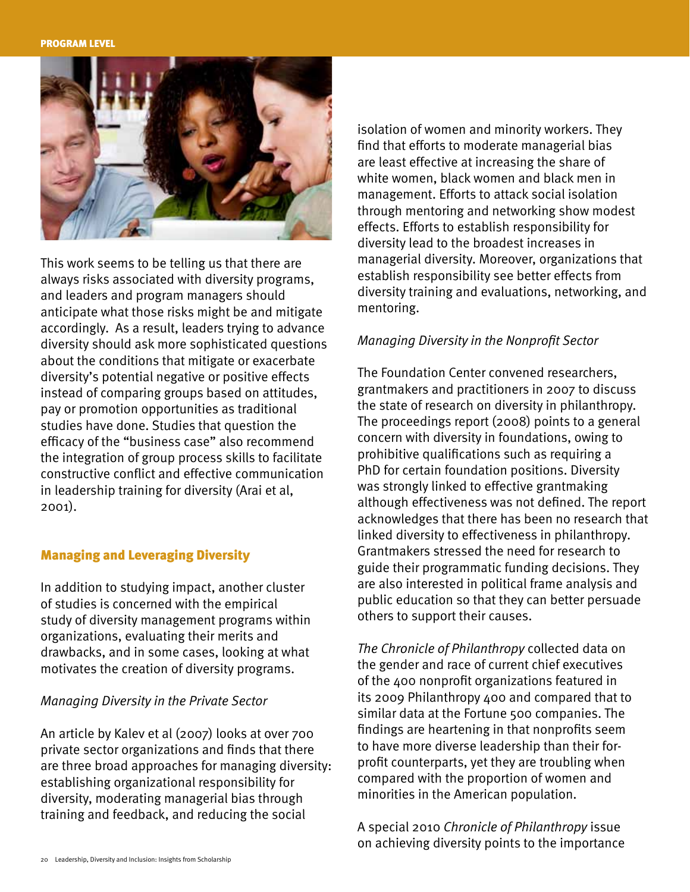

This work seems to be telling us that there are always risks associated with diversity programs, and leaders and program managers should anticipate what those risks might be and mitigate accordingly. As a result, leaders trying to advance diversity should ask more sophisticated questions about the conditions that mitigate or exacerbate diversity's potential negative or positive effects instead of comparing groups based on attitudes, pay or promotion opportunities as traditional studies have done. Studies that question the efficacy of the "business case" also recommend the integration of group process skills to facilitate constructive conflict and effective communication in leadership training for diversity (Arai et al, 2001).

#### Managing and Leveraging Diversity

In addition to studying impact, another cluster of studies is concerned with the empirical study of diversity management programs within organizations, evaluating their merits and drawbacks, and in some cases, looking at what motivates the creation of diversity programs.

#### *Managing Diversity in the Private Sector*

An article by Kalev et al (2007) looks at over 700 private sector organizations and finds that there are three broad approaches for managing diversity: establishing organizational responsibility for diversity, moderating managerial bias through training and feedback, and reducing the social

isolation of women and minority workers. They find that efforts to moderate managerial bias are least effective at increasing the share of white women, black women and black men in management. Efforts to attack social isolation through mentoring and networking show modest effects. Efforts to establish responsibility for diversity lead to the broadest increases in managerial diversity. Moreover, organizations that establish responsibility see better effects from diversity training and evaluations, networking, and mentoring.

#### *Managing Diversity in the Nonprofit Sector*

The Foundation Center convened researchers, grantmakers and practitioners in 2007 to discuss the state of research on diversity in philanthropy. The proceedings report (2008) points to a general concern with diversity in foundations, owing to prohibitive qualifications such as requiring a PhD for certain foundation positions. Diversity was strongly linked to effective grantmaking although effectiveness was not defined. The report acknowledges that there has been no research that linked diversity to effectiveness in philanthropy. Grantmakers stressed the need for research to guide their programmatic funding decisions. They are also interested in political frame analysis and public education so that they can better persuade others to support their causes.

*The Chronicle of Philanthropy* collected data on the gender and race of current chief executives of the 400 nonprofit organizations featured in its 2009 Philanthropy 400 and compared that to similar data at the Fortune 500 companies. The findings are heartening in that nonprofits seem to have more diverse leadership than their forprofit counterparts, yet they are troubling when compared with the proportion of women and minorities in the American population.

A special 2010 *Chronicle of Philanthropy* issue on achieving diversity points to the importance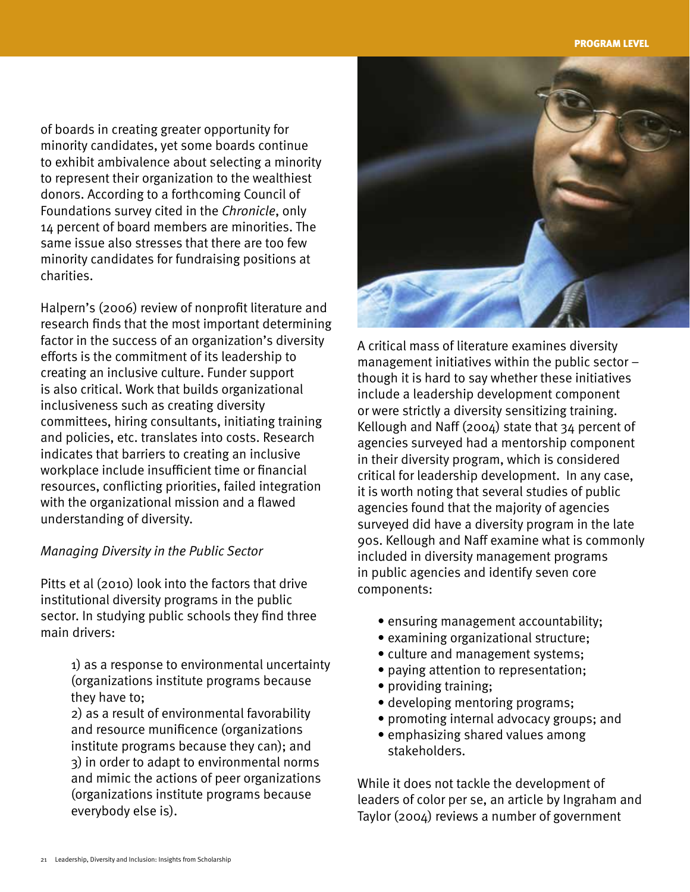of boards in creating greater opportunity for minority candidates, yet some boards continue to exhibit ambivalence about selecting a minority to represent their organization to the wealthiest donors. According to a forthcoming Council of Foundations survey cited in the *Chronicle*, only 14 percent of board members are minorities. The same issue also stresses that there are too few minority candidates for fundraising positions at charities.

Halpern's (2006) review of nonprofit literature and research finds that the most important determining factor in the success of an organization's diversity efforts is the commitment of its leadership to creating an inclusive culture. Funder support is also critical. Work that builds organizational inclusiveness such as creating diversity committees, hiring consultants, initiating training and policies, etc. translates into costs. Research indicates that barriers to creating an inclusive workplace include insufficient time or financial resources, conflicting priorities, failed integration with the organizational mission and a flawed understanding of diversity.

#### *Managing Diversity in the Public Sector*

Pitts et al (2010) look into the factors that drive institutional diversity programs in the public sector. In studying public schools they find three main drivers:

> 1) as a response to environmental uncertainty (organizations institute programs because they have to;

2) as a result of environmental favorability and resource munificence (organizations institute programs because they can); and 3) in order to adapt to environmental norms and mimic the actions of peer organizations (organizations institute programs because everybody else is).



A critical mass of literature examines diversity management initiatives within the public sector – though it is hard to say whether these initiatives include a leadership development component or were strictly a diversity sensitizing training. Kellough and Naff (2004) state that 34 percent of agencies surveyed had a mentorship component in their diversity program, which is considered critical for leadership development. In any case, it is worth noting that several studies of public agencies found that the majority of agencies surveyed did have a diversity program in the late 90s. Kellough and Naff examine what is commonly included in diversity management programs in public agencies and identify seven core components:

- ensuring management accountability;
- examining organizational structure;
- culture and management systems;
- paying attention to representation;
- providing training;
- developing mentoring programs;
- promoting internal advocacy groups; and
- emphasizing shared values among stakeholders.

While it does not tackle the development of leaders of color per se, an article by Ingraham and Taylor (2004) reviews a number of government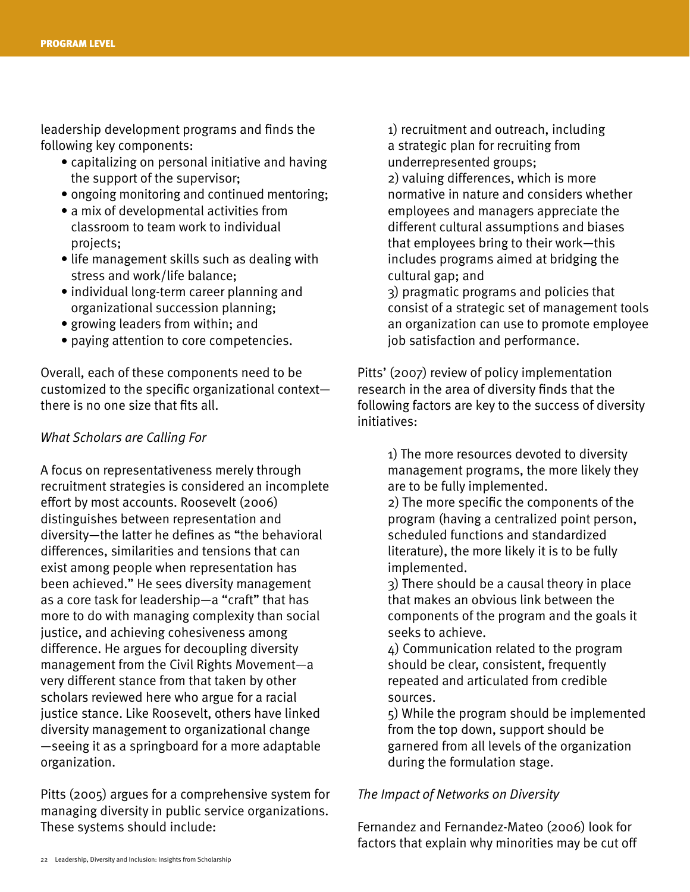leadership development programs and finds the following key components:

- capitalizing on personal initiative and having the support of the supervisor;
- ongoing monitoring and continued mentoring;
- a mix of developmental activities from classroom to team work to individual projects;
- life management skills such as dealing with stress and work/life balance;
- individual long-term career planning and organizational succession planning;
- growing leaders from within; and
- paying attention to core competencies.

Overall, each of these components need to be customized to the specific organizational context there is no one size that fits all.

#### *What Scholars are Calling For*

A focus on representativeness merely through recruitment strategies is considered an incomplete effort by most accounts. Roosevelt (2006) distinguishes between representation and diversity—the latter he defines as "the behavioral differences, similarities and tensions that can exist among people when representation has been achieved." He sees diversity management as a core task for leadership—a "craft" that has more to do with managing complexity than social justice, and achieving cohesiveness among difference. He argues for decoupling diversity management from the Civil Rights Movement—a very different stance from that taken by other scholars reviewed here who argue for a racial justice stance. Like Roosevelt, others have linked diversity management to organizational change —seeing it as a springboard for a more adaptable organization.

Pitts (2005) argues for a comprehensive system for managing diversity in public service organizations. These systems should include:

1) recruitment and outreach, including a strategic plan for recruiting from underrepresented groups;

2) valuing differences, which is more normative in nature and considers whether employees and managers appreciate the different cultural assumptions and biases that employees bring to their work—this includes programs aimed at bridging the cultural gap; and

3) pragmatic programs and policies that consist of a strategic set of management tools an organization can use to promote employee job satisfaction and performance.

Pitts' (2007) review of policy implementation research in the area of diversity finds that the following factors are key to the success of diversity initiatives:

> 1) The more resources devoted to diversity management programs, the more likely they are to be fully implemented.

> 2) The more specific the components of the program (having a centralized point person, scheduled functions and standardized literature), the more likely it is to be fully implemented.

> 3) There should be a causal theory in place that makes an obvious link between the components of the program and the goals it seeks to achieve.

4) Communication related to the program should be clear, consistent, frequently repeated and articulated from credible sources.

5) While the program should be implemented from the top down, support should be garnered from all levels of the organization during the formulation stage.

#### *The Impact of Networks on Diversity*

Fernandez and Fernandez-Mateo (2006) look for factors that explain why minorities may be cut off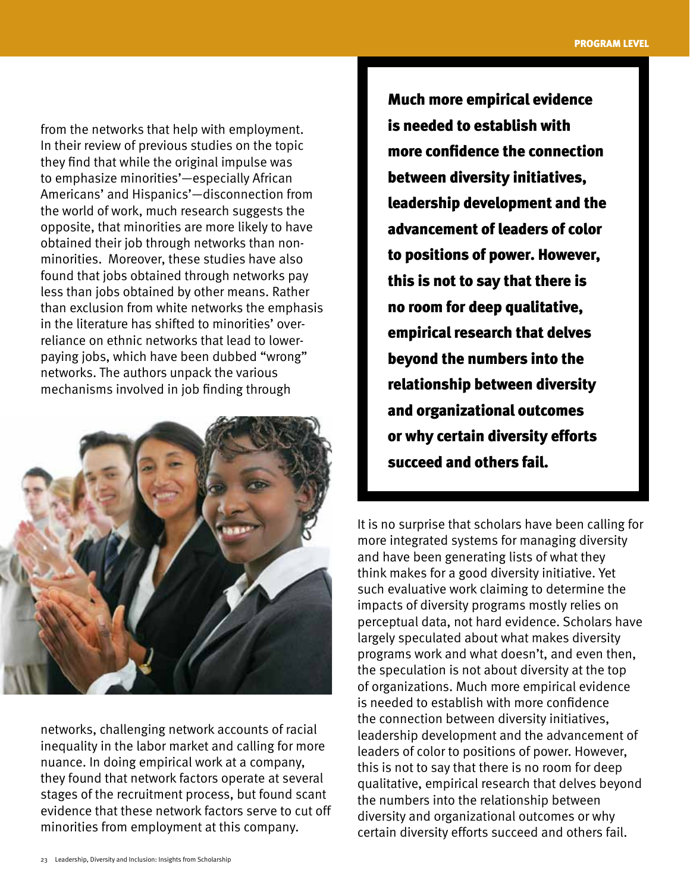from the networks that help with employment. In their review of previous studies on the topic they find that while the original impulse was to emphasize minorities'—especially African Americans' and Hispanics'—disconnection from the world of work, much research suggests the opposite, that minorities are more likely to have obtained their job through networks than nonminorities. Moreover, these studies have also found that jobs obtained through networks pay less than jobs obtained by other means. Rather than exclusion from white networks the emphasis in the literature has shifted to minorities' overreliance on ethnic networks that lead to lowerpaying jobs, which have been dubbed "wrong" networks. The authors unpack the various mechanisms involved in job finding through



networks, challenging network accounts of racial inequality in the labor market and calling for more nuance. In doing empirical work at a company, they found that network factors operate at several stages of the recruitment process, but found scant evidence that these network factors serve to cut off minorities from employment at this company.

Much more empirical evidence is needed to establish with more confidence the connection between diversity initiatives, leadership development and the advancement of leaders of color to positions of power. However, this is not to say that there is no room for deep qualitative, empirical research that delves beyond the numbers into the relationship between diversity and organizational outcomes or why certain diversity efforts succeed and others fail.

It is no surprise that scholars have been calling for more integrated systems for managing diversity and have been generating lists of what they think makes for a good diversity initiative. Yet such evaluative work claiming to determine the impacts of diversity programs mostly relies on perceptual data, not hard evidence. Scholars have largely speculated about what makes diversity programs work and what doesn't, and even then, the speculation is not about diversity at the top of organizations. Much more empirical evidence is needed to establish with more confidence the connection between diversity initiatives, leadership development and the advancement of leaders of color to positions of power. However, this is not to say that there is no room for deep qualitative, empirical research that delves beyond the numbers into the relationship between diversity and organizational outcomes or why certain diversity efforts succeed and others fail.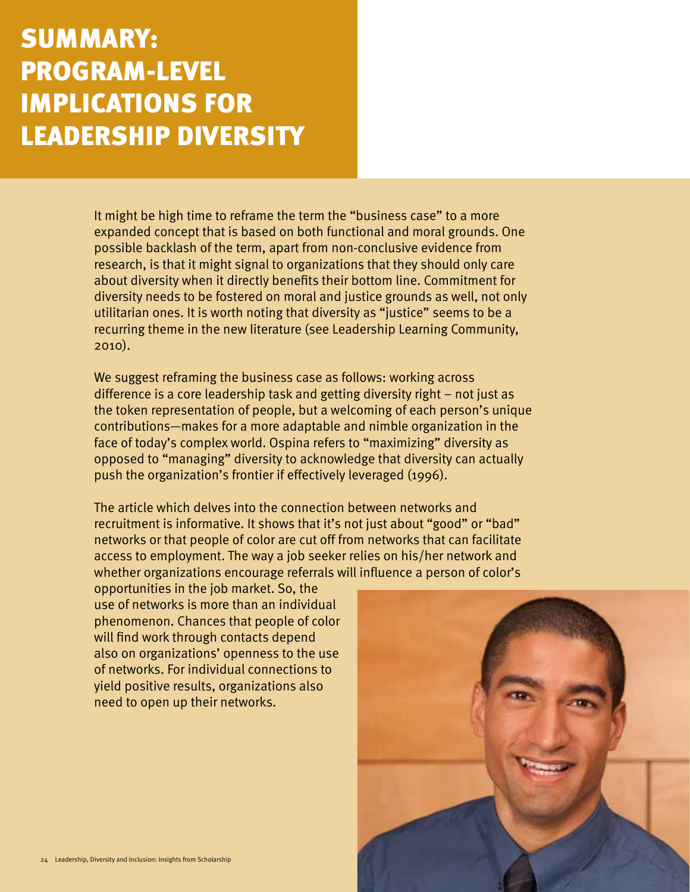### summary: PROGRAM-LEVEL IMPLICATIONS FOR LEADERSHIP DIVERSITY

It might be high time to reframe the term the "business case" to a more expanded concept that is based on both functional and moral grounds. One possible backlash of the term, apart from non-conclusive evidence from research, is that it might signal to organizations that they should only care about diversity when it directly benefits their bottom line. Commitment for diversity needs to be fostered on moral and justice grounds as well, not only utilitarian ones. It is worth noting that diversity as "justice" seems to be a recurring theme in the new literature (see Leadership Learning Community, 2010).

We suggest reframing the business case as follows: working across difference is a core leadership task and getting diversity right – not just as the token representation of people, but a welcoming of each person's unique contributions—makes for a more adaptable and nimble organization in the face of today's complex world. Ospina refers to "maximizing" diversity as opposed to "managing" diversity to acknowledge that diversity can actually push the organization's frontier if effectively leveraged (1996).

The article which delves into the connection between networks and recruitment is informative. It shows that it's not just about "good" or "bad" networks or that people of color are cut off from networks that can facilitate access to employment. The way a job seeker relies on his/her network and whether organizations encourage referrals will influence a person of color's

opportunities in the job market. So, the use of networks is more than an individual phenomenon. Chances that people of color will find work through contacts depend also on organizations' openness to the use of networks. For individual connections to yield positive results, organizations also need to open up their networks.

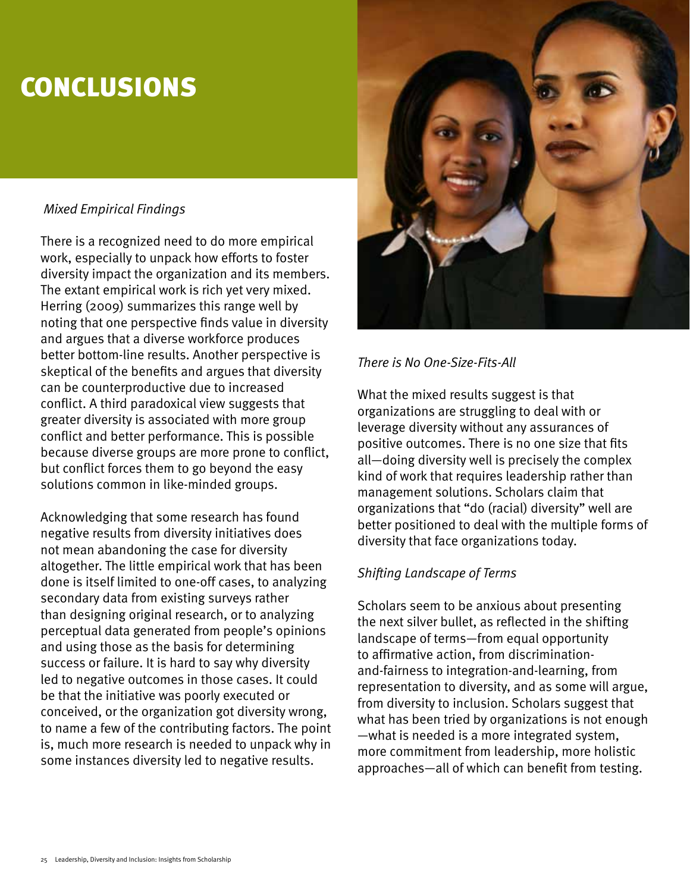### **CONCLUSIONS**

### *Mixed Empirical Findings*

There is a recognized need to do more empirical work, especially to unpack how efforts to foster diversity impact the organization and its members. The extant empirical work is rich yet very mixed. Herring (2009) summarizes this range well by noting that one perspective finds value in diversity and argues that a diverse workforce produces better bottom-line results. Another perspective is skeptical of the benefits and argues that diversity can be counterproductive due to increased conflict. A third paradoxical view suggests that greater diversity is associated with more group conflict and better performance. This is possible because diverse groups are more prone to conflict, but conflict forces them to go beyond the easy solutions common in like-minded groups.

Acknowledging that some research has found negative results from diversity initiatives does not mean abandoning the case for diversity altogether. The little empirical work that has been done is itself limited to one-off cases, to analyzing secondary data from existing surveys rather than designing original research, or to analyzing perceptual data generated from people's opinions and using those as the basis for determining success or failure. It is hard to say why diversity led to negative outcomes in those cases. It could be that the initiative was poorly executed or conceived, or the organization got diversity wrong, to name a few of the contributing factors. The point is, much more research is needed to unpack why in some instances diversity led to negative results.



### *There is No One-Size-Fits-All*

What the mixed results suggest is that organizations are struggling to deal with or leverage diversity without any assurances of positive outcomes. There is no one size that fits all—doing diversity well is precisely the complex kind of work that requires leadership rather than management solutions. Scholars claim that organizations that "do (racial) diversity" well are better positioned to deal with the multiple forms of diversity that face organizations today.

### *Shifting Landscape of Terms*

Scholars seem to be anxious about presenting the next silver bullet, as reflected in the shifting landscape of terms—from equal opportunity to affirmative action, from discriminationand-fairness to integration-and-learning, from representation to diversity, and as some will argue, from diversity to inclusion. Scholars suggest that what has been tried by organizations is not enough —what is needed is a more integrated system, more commitment from leadership, more holistic approaches—all of which can benefit from testing.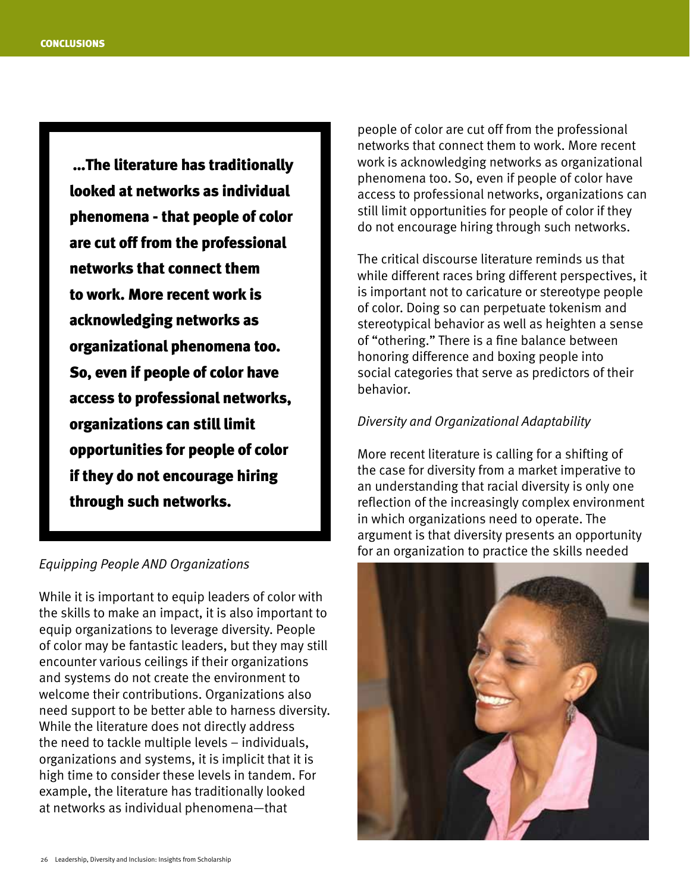…The literature has traditionally looked at networks as individual phenomena - that people of color are cut off from the professional networks that connect them to work. More recent work is acknowledging networks as organizational phenomena too. So, even if people of color have access to professional networks, organizations can still limit opportunities for people of color if they do not encourage hiring through such networks.

#### *Equipping People AND Organizations*

While it is important to equip leaders of color with the skills to make an impact, it is also important to equip organizations to leverage diversity. People of color may be fantastic leaders, but they may still encounter various ceilings if their organizations and systems do not create the environment to welcome their contributions. Organizations also need support to be better able to harness diversity. While the literature does not directly address the need to tackle multiple levels – individuals, organizations and systems, it is implicit that it is high time to consider these levels in tandem. For example, the literature has traditionally looked at networks as individual phenomena—that

people of color are cut off from the professional networks that connect them to work. More recent work is acknowledging networks as organizational phenomena too. So, even if people of color have access to professional networks, organizations can still limit opportunities for people of color if they do not encourage hiring through such networks.

The critical discourse literature reminds us that while different races bring different perspectives, it is important not to caricature or stereotype people of color. Doing so can perpetuate tokenism and stereotypical behavior as well as heighten a sense of "othering." There is a fine balance between honoring difference and boxing people into social categories that serve as predictors of their behavior.

#### *Diversity and Organizational Adaptability*

More recent literature is calling for a shifting of the case for diversity from a market imperative to an understanding that racial diversity is only one reflection of the increasingly complex environment in which organizations need to operate. The argument is that diversity presents an opportunity for an organization to practice the skills needed

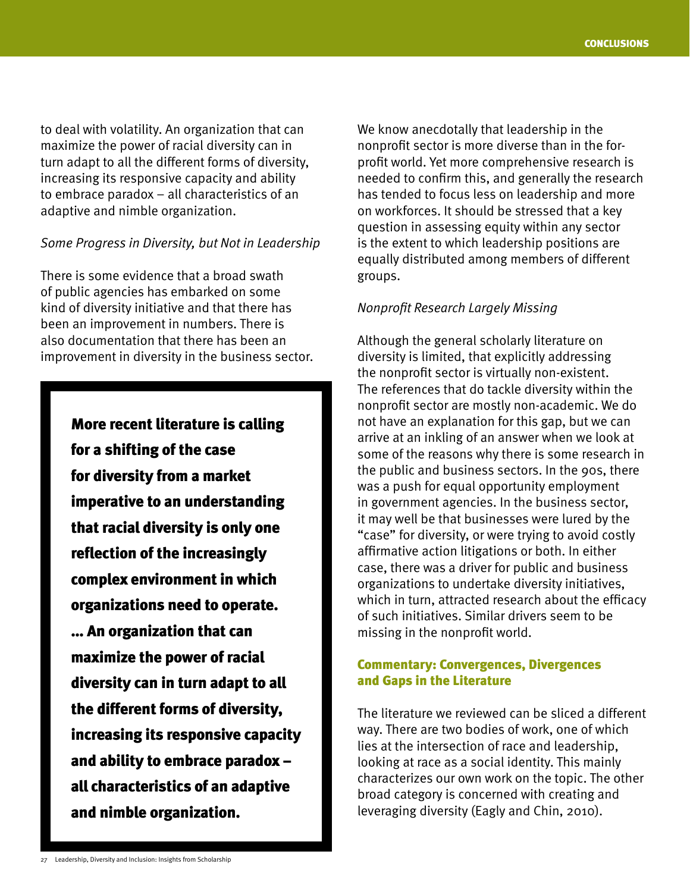to deal with volatility. An organization that can maximize the power of racial diversity can in turn adapt to all the different forms of diversity, increasing its responsive capacity and ability to embrace paradox – all characteristics of an adaptive and nimble organization.

#### *Some Progress in Diversity, but Not in Leadership*

There is some evidence that a broad swath of public agencies has embarked on some kind of diversity initiative and that there has been an improvement in numbers. There is also documentation that there has been an improvement in diversity in the business sector.

> More recent literature is calling for a shifting of the case for diversity from a market imperative to an understanding that racial diversity is only one reflection of the increasingly complex environment in which organizations need to operate. … An organization that can maximize the power of racial diversity can in turn adapt to all the different forms of diversity, increasing its responsive capacity and ability to embrace paradox – all characteristics of an adaptive and nimble organization.

We know anecdotally that leadership in the nonprofit sector is more diverse than in the forprofit world. Yet more comprehensive research is needed to confirm this, and generally the research has tended to focus less on leadership and more on workforces. It should be stressed that a key question in assessing equity within any sector is the extent to which leadership positions are equally distributed among members of different groups.

#### *Nonprofit Research Largely Missing*

Although the general scholarly literature on diversity is limited, that explicitly addressing the nonprofit sector is virtually non-existent. The references that do tackle diversity within the nonprofit sector are mostly non-academic. We do not have an explanation for this gap, but we can arrive at an inkling of an answer when we look at some of the reasons why there is some research in the public and business sectors. In the 90s, there was a push for equal opportunity employment in government agencies. In the business sector, it may well be that businesses were lured by the "case" for diversity, or were trying to avoid costly affirmative action litigations or both. In either case, there was a driver for public and business organizations to undertake diversity initiatives, which in turn, attracted research about the efficacy of such initiatives. Similar drivers seem to be missing in the nonprofit world.

#### Commentary: Convergences, Divergences and Gaps in the Literature

The literature we reviewed can be sliced a different way. There are two bodies of work, one of which lies at the intersection of race and leadership, looking at race as a social identity. This mainly characterizes our own work on the topic. The other broad category is concerned with creating and leveraging diversity (Eagly and Chin, 2010).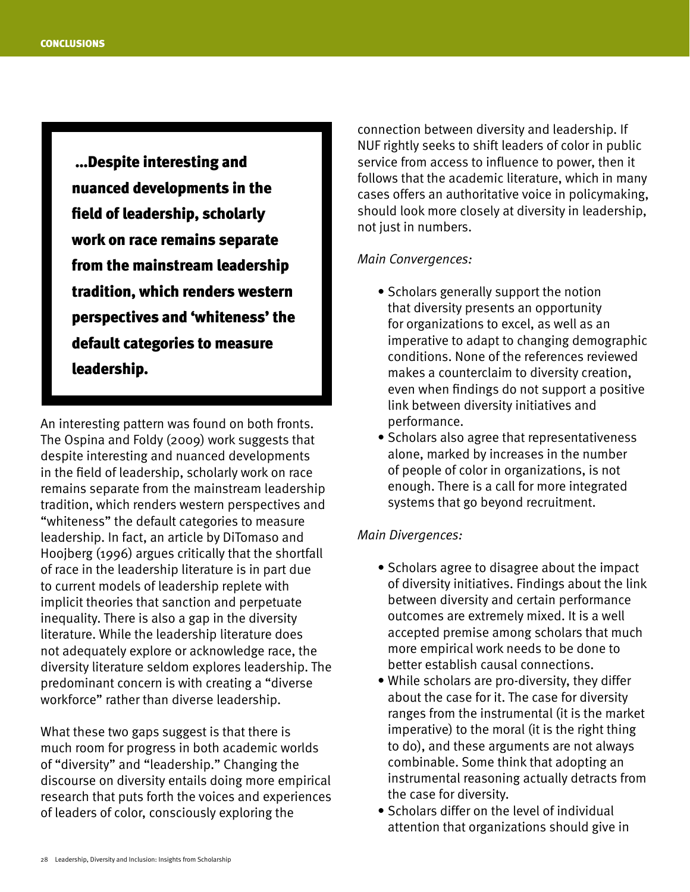…Despite interesting and nuanced developments in the field of leadership, scholarly work on race remains separate from the mainstream leadership tradition, which renders western perspectives and 'whiteness' the default categories to measure leadership.

An interesting pattern was found on both fronts. The Ospina and Foldy (2009) work suggests that despite interesting and nuanced developments in the field of leadership, scholarly work on race remains separate from the mainstream leadership tradition, which renders western perspectives and "whiteness" the default categories to measure leadership. In fact, an article by DiTomaso and Hoojberg (1996) argues critically that the shortfall of race in the leadership literature is in part due to current models of leadership replete with implicit theories that sanction and perpetuate inequality. There is also a gap in the diversity literature. While the leadership literature does not adequately explore or acknowledge race, the diversity literature seldom explores leadership. The predominant concern is with creating a "diverse workforce" rather than diverse leadership.

What these two gaps suggest is that there is much room for progress in both academic worlds of "diversity" and "leadership." Changing the discourse on diversity entails doing more empirical research that puts forth the voices and experiences of leaders of color, consciously exploring the

connection between diversity and leadership. If NUF rightly seeks to shift leaders of color in public service from access to influence to power, then it follows that the academic literature, which in many cases offers an authoritative voice in policymaking, should look more closely at diversity in leadership, not just in numbers.

#### *Main Convergences:*

- Scholars generally support the notion that diversity presents an opportunity for organizations to excel, as well as an imperative to adapt to changing demographic conditions. None of the references reviewed makes a counterclaim to diversity creation, even when findings do not support a positive link between diversity initiatives and performance.
- Scholars also agree that representativeness alone, marked by increases in the number of people of color in organizations, is not enough. There is a call for more integrated systems that go beyond recruitment.

#### *Main Divergences:*

- Scholars agree to disagree about the impact of diversity initiatives. Findings about the link between diversity and certain performance outcomes are extremely mixed. It is a well accepted premise among scholars that much more empirical work needs to be done to better establish causal connections.
- While scholars are pro-diversity, they differ about the case for it. The case for diversity ranges from the instrumental (it is the market imperative) to the moral (it is the right thing to do), and these arguments are not always combinable. Some think that adopting an instrumental reasoning actually detracts from the case for diversity.
- Scholars differ on the level of individual attention that organizations should give in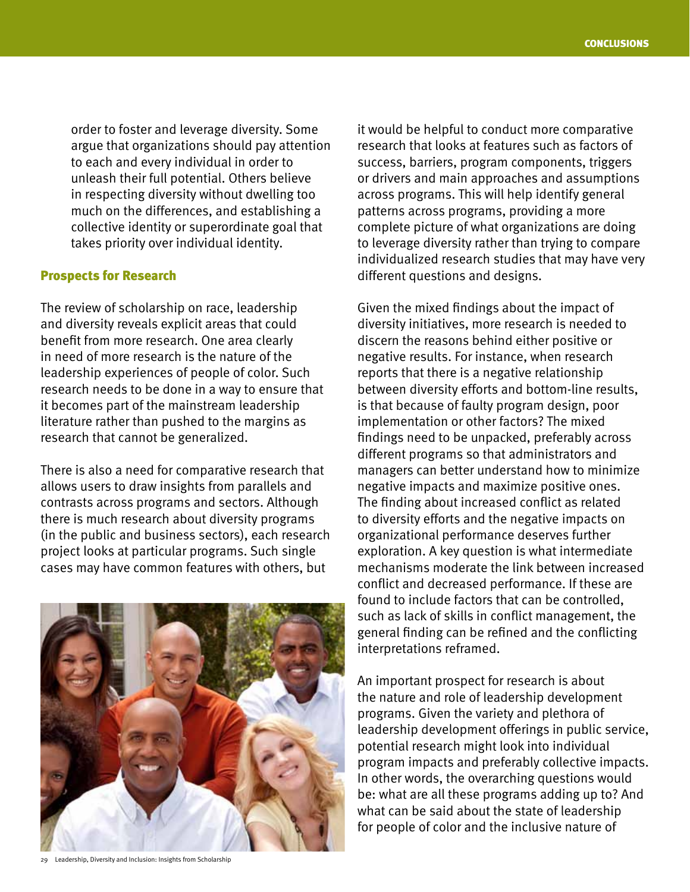order to foster and leverage diversity. Some argue that organizations should pay attention to each and every individual in order to unleash their full potential. Others believe in respecting diversity without dwelling too much on the differences, and establishing a collective identity or superordinate goal that takes priority over individual identity.

#### Prospects for Research

The review of scholarship on race, leadership and diversity reveals explicit areas that could benefit from more research. One area clearly in need of more research is the nature of the leadership experiences of people of color. Such research needs to be done in a way to ensure that it becomes part of the mainstream leadership literature rather than pushed to the margins as research that cannot be generalized.

There is also a need for comparative research that allows users to draw insights from parallels and contrasts across programs and sectors. Although there is much research about diversity programs (in the public and business sectors), each research project looks at particular programs. Such single cases may have common features with others, but



29 Leadership, Diversity and Inclusion: Insights from Scholarship

it would be helpful to conduct more comparative research that looks at features such as factors of success, barriers, program components, triggers or drivers and main approaches and assumptions across programs. This will help identify general patterns across programs, providing a more complete picture of what organizations are doing to leverage diversity rather than trying to compare individualized research studies that may have very different questions and designs.

Given the mixed findings about the impact of diversity initiatives, more research is needed to discern the reasons behind either positive or negative results. For instance, when research reports that there is a negative relationship between diversity efforts and bottom-line results, is that because of faulty program design, poor implementation or other factors? The mixed findings need to be unpacked, preferably across different programs so that administrators and managers can better understand how to minimize negative impacts and maximize positive ones. The finding about increased conflict as related to diversity efforts and the negative impacts on organizational performance deserves further exploration. A key question is what intermediate mechanisms moderate the link between increased conflict and decreased performance. If these are found to include factors that can be controlled, such as lack of skills in conflict management, the general finding can be refined and the conflicting interpretations reframed.

An important prospect for research is about the nature and role of leadership development programs. Given the variety and plethora of leadership development offerings in public service, potential research might look into individual program impacts and preferably collective impacts. In other words, the overarching questions would be: what are all these programs adding up to? And what can be said about the state of leadership for people of color and the inclusive nature of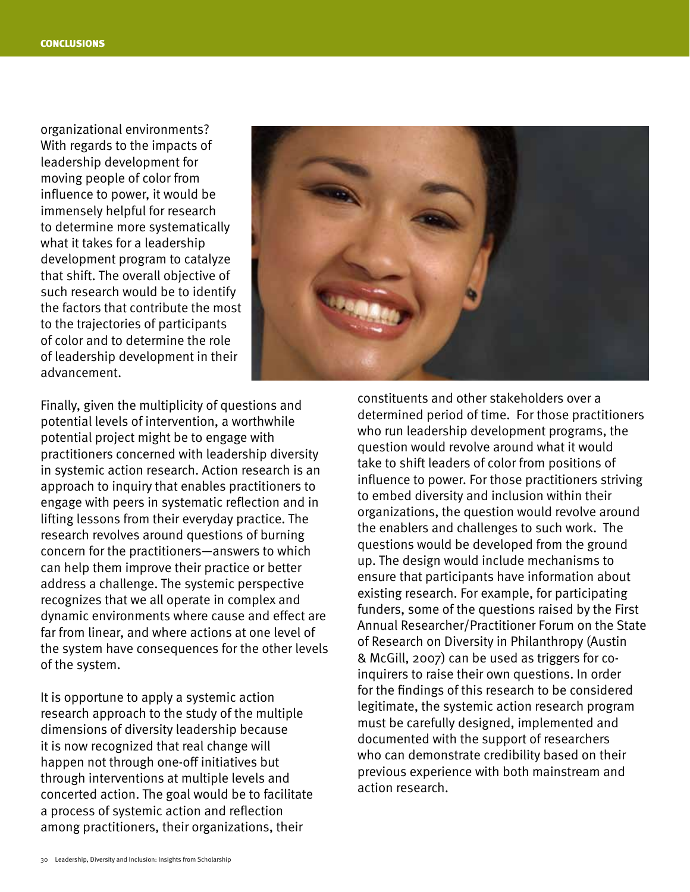organizational environments? With regards to the impacts of leadership development for moving people of color from influence to power, it would be immensely helpful for research to determine more systematically what it takes for a leadership development program to catalyze that shift. The overall objective of such research would be to identify the factors that contribute the most to the trajectories of participants of color and to determine the role of leadership development in their advancement.



Finally, given the multiplicity of questions and potential levels of intervention, a worthwhile potential project might be to engage with practitioners concerned with leadership diversity in systemic action research. Action research is an approach to inquiry that enables practitioners to engage with peers in systematic reflection and in lifting lessons from their everyday practice. The research revolves around questions of burning concern for the practitioners—answers to which can help them improve their practice or better address a challenge. The systemic perspective recognizes that we all operate in complex and dynamic environments where cause and effect are far from linear, and where actions at one level of the system have consequences for the other levels of the system.

It is opportune to apply a systemic action research approach to the study of the multiple dimensions of diversity leadership because it is now recognized that real change will happen not through one-off initiatives but through interventions at multiple levels and concerted action. The goal would be to facilitate a process of systemic action and reflection among practitioners, their organizations, their

constituents and other stakeholders over a determined period of time. For those practitioners who run leadership development programs, the question would revolve around what it would take to shift leaders of color from positions of influence to power. For those practitioners striving to embed diversity and inclusion within their organizations, the question would revolve around the enablers and challenges to such work. The questions would be developed from the ground up. The design would include mechanisms to ensure that participants have information about existing research. For example, for participating funders, some of the questions raised by the First Annual Researcher/Practitioner Forum on the State of Research on Diversity in Philanthropy (Austin & McGill, 2007) can be used as triggers for coinquirers to raise their own questions. In order for the findings of this research to be considered legitimate, the systemic action research program must be carefully designed, implemented and documented with the support of researchers who can demonstrate credibility based on their previous experience with both mainstream and action research.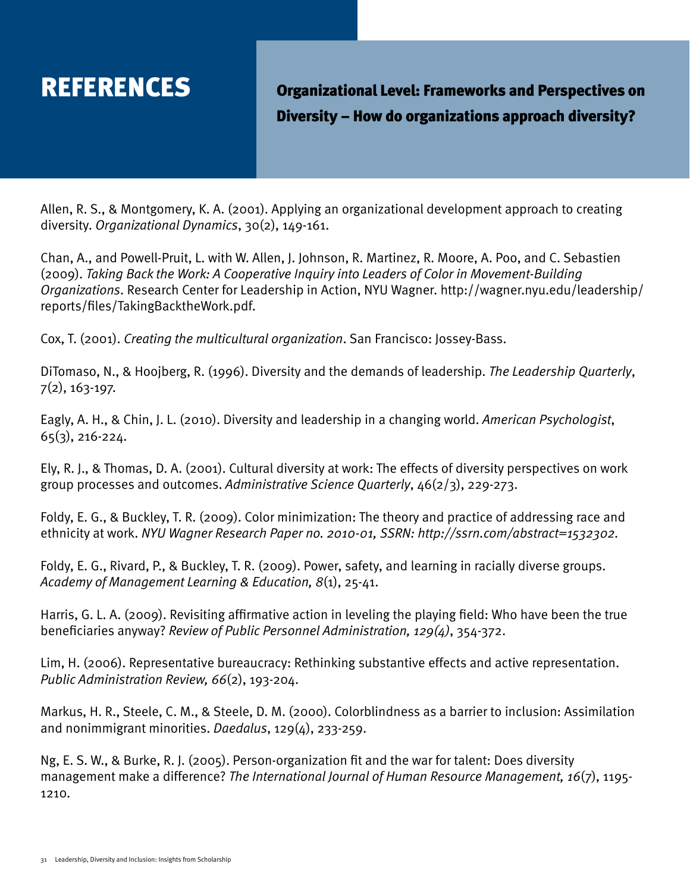REFERENCES **Organizational Level: Frameworks and Perspectives on** Diversity – How do organizations approach diversity?

Allen, R. S., & Montgomery, K. A. (2001). Applying an organizational development approach to creating diversity. *Organizational Dynamics*, 30(2), 149-161.

Chan, A., and Powell-Pruit, L. with W. Allen, J. Johnson, R. Martinez, R. Moore, A. Poo, and C. Sebastien (2009). *Taking Back the Work: A Cooperative Inquiry into Leaders of Color in Movement-Building Organizations*. Research Center for Leadership in Action, NYU Wagner. [http://wagner.nyu.edu/leadership/](http://wagner.nyu.edu/leadership/reports/files/TakingBacktheWork.pdf) [reports/files/TakingBacktheWork.pdf.](http://wagner.nyu.edu/leadership/reports/files/TakingBacktheWork.pdf)

Cox, T. (2001). *Creating the multicultural organization*. San Francisco: Jossey-Bass.

DiTomaso, N., & Hoojberg, R. (1996). Diversity and the demands of leadership. *The Leadership Quarterly*, 7(2), 163-197.

Eagly, A. H., & Chin, J. L. (2010). Diversity and leadership in a changing world. *American Psychologist*, 65(3), 216-224.

Ely, R. J., & Thomas, D. A. (2001). Cultural diversity at work: The effects of diversity perspectives on work group processes and outcomes. *Administrative Science Quarterly*, 46(2/3), 229-273.

Foldy, E. G., & Buckley, T. R. (2009). Color minimization: The theory and practice of addressing race and ethnicity at work. *NYU Wagner Research Paper no. 2010-01, SSRN: [http://ssrn.com/abstract=](http://ssrn.com/abstract)1532302.*

Foldy, E. G., Rivard, P., & Buckley, T. R. (2009). Power, safety, and learning in racially diverse groups. *Academy of Management Learning & Education, 8*(1), 25-41.

Harris, G. L. A. (2009). Revisiting affirmative action in leveling the playing field: Who have been the true beneficiaries anyway? *Review of Public Personnel Administration, 129(4)*, 354-372.

Lim, H. (2006). Representative bureaucracy: Rethinking substantive effects and active representation. *Public Administration Review, 66*(2), 193-204.

Markus, H. R., Steele, C. M., & Steele, D. M. (2000). Colorblindness as a barrier to inclusion: Assimilation and nonimmigrant minorities. *Daedalus*, 129(4), 233-259.

Ng, E. S. W., & Burke, R. J. (2005). Person-organization fit and the war for talent: Does diversity management make a difference? *The International Journal of Human Resource Management, 16*(7), 1195- 1210.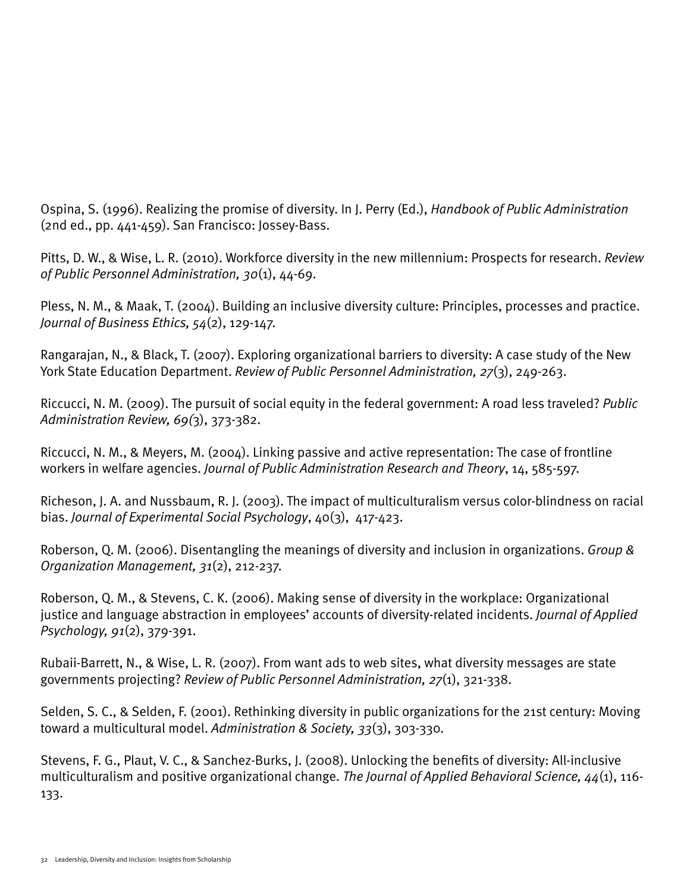Ospina, S. (1996). Realizing the promise of diversity. In J. Perry (Ed.), *Handbook of Public Administration* (2nd ed., pp. 441-459). San Francisco: Jossey-Bass.

Pitts, D. W., & Wise, L. R. (2010). Workforce diversity in the new millennium: Prospects for research. *Review of Public Personnel Administration, 30*(1), 44-69.

Pless, N. M., & Maak, T. (2004). Building an inclusive diversity culture: Principles, processes and practice. *Journal of Business Ethics, 54*(2), 129-147.

Rangarajan, N., & Black, T. (2007). Exploring organizational barriers to diversity: A case study of the New York State Education Department. *Review of Public Personnel Administration, 27*(3), 249-263.

Riccucci, N. M. (2009). The pursuit of social equity in the federal government: A road less traveled? *Public Administration Review, 69(*3), 373-382.

Riccucci, N. M., & Meyers, M. (2004). Linking passive and active representation: The case of frontline workers in welfare agencies. *Journal of Public Administration Research and Theory*, 14, 585-597.

Richeson, J. A. and Nussbaum, R. J. (2003). The impact of multiculturalism versus color-blindness on racial bias. *Journal of Experimental Social Psychology*, 40(3), 417-423.

Roberson, Q. M. (2006). Disentangling the meanings of diversity and inclusion in organizations. *Group & Organization Management, 31*(2), 212-237.

Roberson, Q. M., & Stevens, C. K. (2006). Making sense of diversity in the workplace: Organizational justice and language abstraction in employees' accounts of diversity-related incidents. *Journal of Applied Psychology, 91*(2), 379-391.

Rubaii-Barrett, N., & Wise, L. R. (2007). From want ads to web sites, what diversity messages are state governments projecting? *Review of Public Personnel Administration, 27*(1), 321-338.

Selden, S. C., & Selden, F. (2001). Rethinking diversity in public organizations for the 21st century: Moving toward a multicultural model. *Administration & Society, 33*(3), 303-330.

Stevens, F. G., Plaut, V. C., & Sanchez-Burks, J. (2008). Unlocking the benefits of diversity: All-inclusive multiculturalism and positive organizational change. *The Journal of Applied Behavioral Science, 44*(1), 116- 133.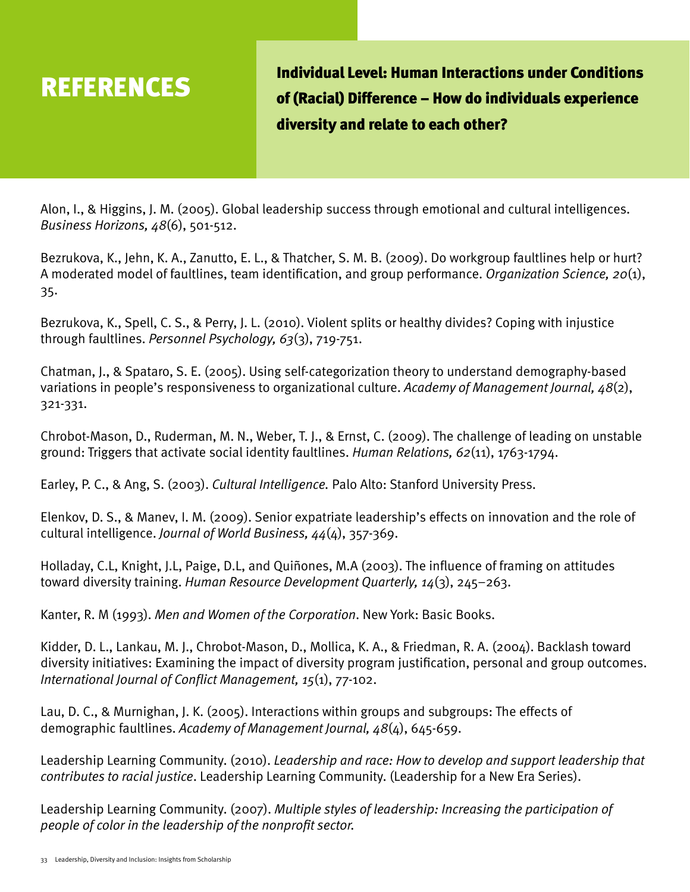REFERENCES Individual Level: Human Interactions under Conditions of (Racial) Difference – How do individuals experience diversity and relate to each other?

Alon, I., & Higgins, J. M. (2005). Global leadership success through emotional and cultural intelligences. *Business Horizons, 48*(6), 501-512.

Bezrukova, K., Jehn, K. A., Zanutto, E. L., & Thatcher, S. M. B. (2009). Do workgroup faultlines help or hurt? A moderated model of faultlines, team identification, and group performance. *Organization Science, 20*(1), 35.

Bezrukova, K., Spell, C. S., & Perry, J. L. (2010). Violent splits or healthy divides? Coping with injustice through faultlines. *Personnel Psychology, 63*(3), 719-751.

Chatman, J., & Spataro, S. E. (2005). Using self-categorization theory to understand demography-based variations in people's responsiveness to organizational culture. *Academy of Management Journal, 48*(2), 321-331.

Chrobot-Mason, D., Ruderman, M. N., Weber, T. J., & Ernst, C. (2009). The challenge of leading on unstable ground: Triggers that activate social identity faultlines. *Human Relations, 62*(11), 1763-1794.

Earley, P. C., & Ang, S. (2003). *Cultural Intelligence.* Palo Alto: Stanford University Press.

Elenkov, D. S., & Manev, I. M. (2009). Senior expatriate leadership's effects on innovation and the role of cultural intelligence. *Journal of World Business, 44*(4), 357-369.

Holladay, C.L, Knight, J.L, Paige, D.L, and Quiñones, M.A (2003). The influence of framing on attitudes toward diversity training. *Human Resource Development Quarterly, 14*(3), 245–263.

Kanter, R. M (1993). *Men and Women of the Corporation*. New York: Basic Books.

Kidder, D. L., Lankau, M. J., Chrobot-Mason, D., Mollica, K. A., & Friedman, R. A. (2004). Backlash toward diversity initiatives: Examining the impact of diversity program justification, personal and group outcomes. *International Journal of Conflict Management, 15*(1), 77-102.

Lau, D. C., & Murnighan, J. K. (2005). Interactions within groups and subgroups: The effects of demographic faultlines. *Academy of Management Journal, 48*(4), 645-659.

Leadership Learning Community. (2010). *Leadership and race: How to develop and support leadership that contributes to racial justice*. Leadership Learning Community. (Leadership for a New Era Series).

Leadership Learning Community. (2007). *Multiple styles of leadership: Increasing the participation of people of color in the leadership of the nonprofit sector.*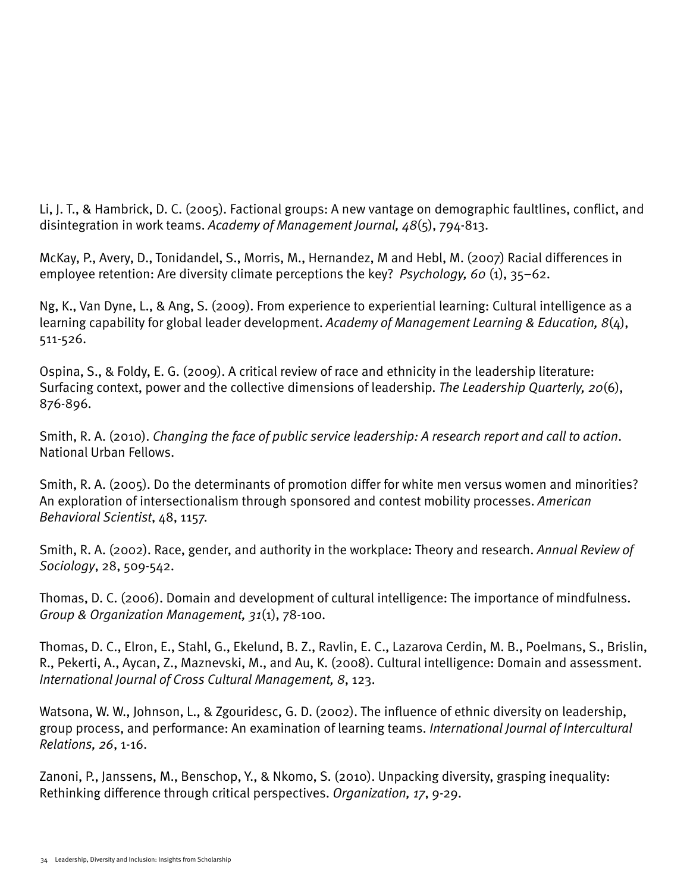Li, J. T., & Hambrick, D. C. (2005). Factional groups: A new vantage on demographic faultlines, conflict, and disintegration in work teams. *Academy of Management Journal, 48*(5), 794-813.

McKay, P., Avery, D., Tonidandel, S., Morris, M., Hernandez, M and Hebl, M. (2007) Racial differences in employee retention: Are diversity climate perceptions the key? *Psychology, 60* (1), 35–62.

Ng, K., Van Dyne, L., & Ang, S. (2009). From experience to experiential learning: Cultural intelligence as a learning capability for global leader development. *Academy of Management Learning & Education, 8*(4), 511-526.

Ospina, S., & Foldy, E. G. (2009). A critical review of race and ethnicity in the leadership literature: Surfacing context, power and the collective dimensions of leadership. *The Leadership Quarterly, 20*(6), 876-896.

Smith, R. A. (2010). *Changing the face of public service leadership: A research report and call to action*. National Urban Fellows.

Smith, R. A. (2005). Do the determinants of promotion differ for white men versus women and minorities? An exploration of intersectionalism through sponsored and contest mobility processes. *American Behavioral Scientist*, 48, 1157.

Smith, R. A. (2002). Race, gender, and authority in the workplace: Theory and research. *Annual Review of Sociology*, 28, 509-542.

Thomas, D. C. (2006). Domain and development of cultural intelligence: The importance of mindfulness. *Group & Organization Management, 31*(1), 78-100.

Thomas, D. C., Elron, E., Stahl, G., Ekelund, B. Z., Ravlin, E. C., Lazarova Cerdin, M. B., Poelmans, S., Brislin, R., Pekerti, A., Aycan, Z., Maznevski, M., and Au, K. (2008). Cultural intelligence: Domain and assessment. *International Journal of Cross Cultural Management, 8*, 123.

Watsona, W. W., Johnson, L., & Zgouridesc, G. D. (2002). The influence of ethnic diversity on leadership, group process, and performance: An examination of learning teams. *International Journal of Intercultural Relations, 26*, 1-16.

Zanoni, P., Janssens, M., Benschop, Y., & Nkomo, S. (2010). Unpacking diversity, grasping inequality: Rethinking difference through critical perspectives. *Organization, 17*, 9-29.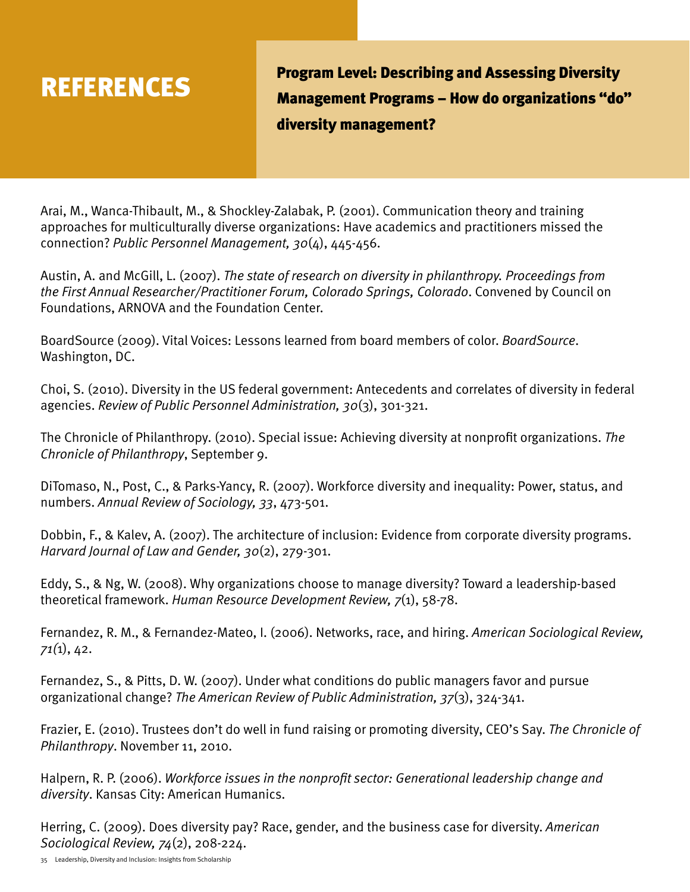

Program Level: Describing and Assessing Diversity<br>
REFERENCES<br>
Monograment Dregrams How descriptions "de Management Programs – How do organizations "do" diversity management?

Arai, M., Wanca-Thibault, M., & Shockley-Zalabak, P. (2001). Communication theory and training approaches for multiculturally diverse organizations: Have academics and practitioners missed the connection? *Public Personnel Management, 30*(4), 445-456.

Austin, A. and McGill, L. (2007). *The state of research on diversity in philanthropy. Proceedings from the First Annual Researcher/Practitioner Forum, Colorado Springs, Colorado*. Convened by Council on Foundations, ARNOVA and the Foundation Center.

BoardSource (2009). Vital Voices: Lessons learned from board members of color. *BoardSource*. Washington, DC.

Choi, S. (2010). Diversity in the US federal government: Antecedents and correlates of diversity in federal agencies. *Review of Public Personnel Administration, 30*(3), 301-321.

The Chronicle of Philanthropy. (2010). Special issue: Achieving diversity at nonprofit organizations. *The Chronicle of Philanthropy*, September 9.

DiTomaso, N., Post, C., & Parks-Yancy, R. (2007). Workforce diversity and inequality: Power, status, and numbers. *Annual Review of Sociology, 33*, 473-501.

Dobbin, F., & Kalev, A. (2007). The architecture of inclusion: Evidence from corporate diversity programs. *Harvard Journal of Law and Gender, 30*(2), 279-301.

Eddy, S., & Ng, W. (2008). Why organizations choose to manage diversity? Toward a leadership-based theoretical framework. *Human Resource Development Review, 7*(1), 58-78.

Fernandez, R. M., & Fernandez-Mateo, I. (2006). Networks, race, and hiring. *American Sociological Review, 71(*1), 42.

Fernandez, S., & Pitts, D. W. (2007). Under what conditions do public managers favor and pursue organizational change? *The American Review of Public Administration, 37*(3), 324-341.

Frazier, E. (2010). Trustees don't do well in fund raising or promoting diversity, CEO's Say. *The Chronicle of Philanthropy*. November 11, 2010.

Halpern, R. P. (2006). *Workforce issues in the nonprofit sector: Generational leadership change and diversity*. Kansas City: American Humanics.

Herring, C. (2009). Does diversity pay? Race, gender, and the business case for diversity. *American Sociological Review, 74*(2), 208-224.

35 Leadership, Diversity and Inclusion: Insights from Scholarship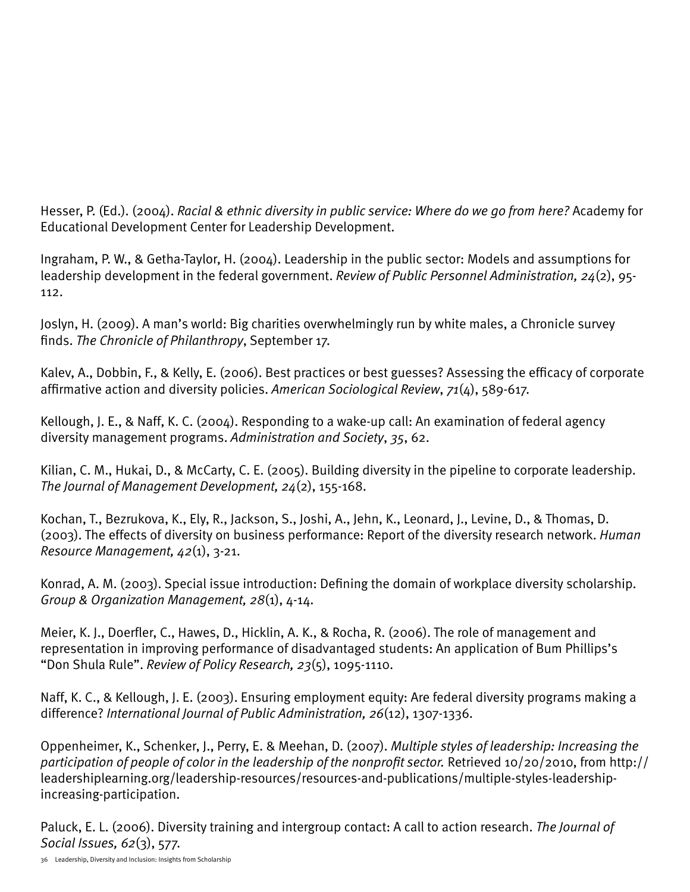Hesser, P. (Ed.). (2004). *Racial & ethnic diversity in public service: Where do we go from here?* Academy for Educational Development Center for Leadership Development.

Ingraham, P. W., & Getha-Taylor, H. (2004). Leadership in the public sector: Models and assumptions for leadership development in the federal government. *Review of Public Personnel Administration, 24*(2), 95- 112.

Joslyn, H. (2009). A man's world: Big charities overwhelmingly run by white males, a Chronicle survey finds. *The Chronicle of Philanthropy*, September 17.

Kalev, A., Dobbin, F., & Kelly, E. (2006). Best practices or best guesses? Assessing the efficacy of corporate affirmative action and diversity policies. *American Sociological Review*, *71*(4), 589-617.

Kellough, J. E., & Naff, K. C. (2004). Responding to a wake-up call: An examination of federal agency diversity management programs. *Administration and Society*, *35*, 62.

Kilian, C. M., Hukai, D., & McCarty, C. E. (2005). Building diversity in the pipeline to corporate leadership. *The Journal of Management Development, 24*(2), 155-168.

Kochan, T., Bezrukova, K., Ely, R., Jackson, S., Joshi, A., Jehn, K., Leonard, J., Levine, D., & Thomas, D. (2003). The effects of diversity on business performance: Report of the diversity research network. *Human Resource Management, 42*(1), 3-21.

Konrad, A. M. (2003). Special issue introduction: Defining the domain of workplace diversity scholarship. *Group & Organization Management, 28*(1), 4-14.

Meier, K. J., Doerfler, C., Hawes, D., Hicklin, A. K., & Rocha, R. (2006). The role of management and representation in improving performance of disadvantaged students: An application of Bum Phillips's "Don Shula Rule". *Review of Policy Research, 23*(5), 1095-1110.

Naff, K. C., & Kellough, J. E. (2003). Ensuring employment equity: Are federal diversity programs making a difference? *International Journal of Public Administration, 26*(12), 1307-1336.

Oppenheimer, K., Schenker, J., Perry, E. & Meehan, D. (2007). *Multiple styles of leadership: Increasing the participation of people of color in the leadership of the nonprofit sector.* Retrieved 10/20/2010, from [http://](http://leadershiplearning.org/leadership-resources/resources-and-publications/multiple) [leadershiplearning.org/leadership-resources/resources-and-publications/multiple-](http://leadershiplearning.org/leadership-resources/resources-and-publications/multiple)styles-leadershipincreasing-participation.

Paluck, E. L. (2006). Diversity training and intergroup contact: A call to action research. *The Journal of Social Issues, 62*(3), 577.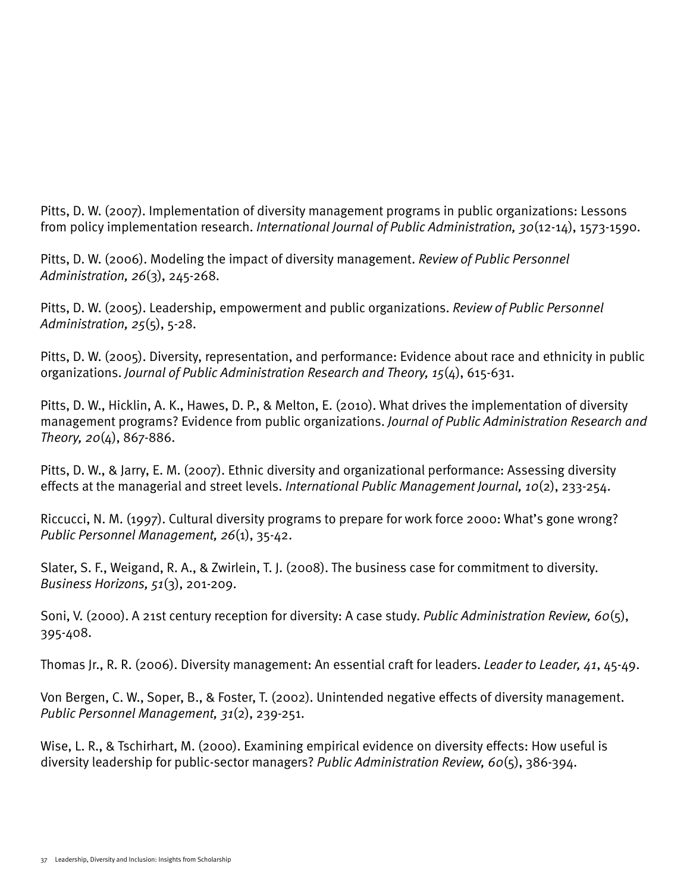Pitts, D. W. (2007). Implementation of diversity management programs in public organizations: Lessons from policy implementation research. *International Journal of Public Administration, 30*(12-14), 1573-1590.

Pitts, D. W. (2006). Modeling the impact of diversity management. *Review of Public Personnel Administration, 26*(3), 245-268.

Pitts, D. W. (2005). Leadership, empowerment and public organizations. *Review of Public Personnel Administration, 25*(5), 5-28.

Pitts, D. W. (2005). Diversity, representation, and performance: Evidence about race and ethnicity in public organizations. *Journal of Public Administration Research and Theory, 15*(4), 615-631.

Pitts, D. W., Hicklin, A. K., Hawes, D. P., & Melton, E. (2010). What drives the implementation of diversity management programs? Evidence from public organizations. *Journal of Public Administration Research and Theory, 20*(4), 867-886.

Pitts, D. W., & Jarry, E. M. (2007). Ethnic diversity and organizational performance: Assessing diversity effects at the managerial and street levels. *International Public Management Journal, 10*(2), 233-254.

Riccucci, N. M. (1997). Cultural diversity programs to prepare for work force 2000: What's gone wrong? *Public Personnel Management, 26*(1), 35-42.

Slater, S. F., Weigand, R. A., & Zwirlein, T. J. (2008). The business case for commitment to diversity. *Business Horizons, 51*(3), 201-209.

Soni, V. (2000). A 21st century reception for diversity: A case study. *Public Administration Review, 60*(5), 395-408.

Thomas Jr., R. R. (2006). Diversity management: An essential craft for leaders. *Leader to Leader, 41*, 45-49.

Von Bergen, C. W., Soper, B., & Foster, T. (2002). Unintended negative effects of diversity management. *Public Personnel Management, 31*(2), 239-251.

Wise, L. R., & Tschirhart, M. (2000). Examining empirical evidence on diversity effects: How useful is diversity leadership for public-sector managers? *Public Administration Review, 60*(5), 386-394.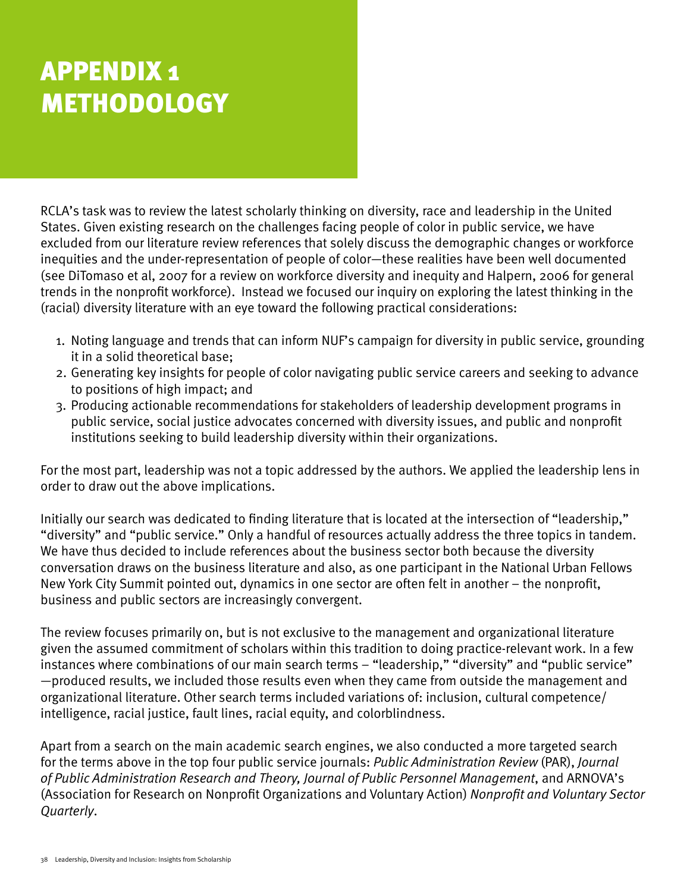# **APPENDIX 1 METHODOLOGY**

RCLA's task was to review the latest scholarly thinking on diversity, race and leadership in the United States. Given existing research on the challenges facing people of color in public service, we have excluded from our literature review references that solely discuss the demographic changes or workforce inequities and the under-representation of people of color—these realities have been well documented (see DiTomaso et al, 2007 for a review on workforce diversity and inequity and Halpern, 2006 for general trends in the nonprofit workforce). Instead we focused our inquiry on exploring the latest thinking in the (racial) diversity literature with an eye toward the following practical considerations:

- 1. Noting language and trends that can inform NUF's campaign for diversity in public service, grounding it in a solid theoretical base;
- 2. Generating key insights for people of color navigating public service careers and seeking to advance to positions of high impact; and
- 3. Producing actionable recommendations for stakeholders of leadership development programs in public service, social justice advocates concerned with diversity issues, and public and nonprofit institutions seeking to build leadership diversity within their organizations.

For the most part, leadership was not a topic addressed by the authors. We applied the leadership lens in order to draw out the above implications.

Initially our search was dedicated to finding literature that is located at the intersection of "leadership," "diversity" and "public service." Only a handful of resources actually address the three topics in tandem. We have thus decided to include references about the business sector both because the diversity conversation draws on the business literature and also, as one participant in the National Urban Fellows New York City Summit pointed out, dynamics in one sector are often felt in another – the nonprofit, business and public sectors are increasingly convergent.

The review focuses primarily on, but is not exclusive to the management and organizational literature given the assumed commitment of scholars within this tradition to doing practice-relevant work. In a few instances where combinations of our main search terms – "leadership," "diversity" and "public service" —produced results, we included those results even when they came from outside the management and organizational literature. Other search terms included variations of: inclusion, cultural competence/ intelligence, racial justice, fault lines, racial equity, and colorblindness.

Apart from a search on the main academic search engines, we also conducted a more targeted search for the terms above in the top four public service journals: *Public Administration Review* (PAR), *Journal of Public Administration Research and Theory, Journal of Public Personnel Management*, and ARNOVA's (Association for Research on Nonprofit Organizations and Voluntary Action) *Nonprofit and Voluntary Sector Quarterly*.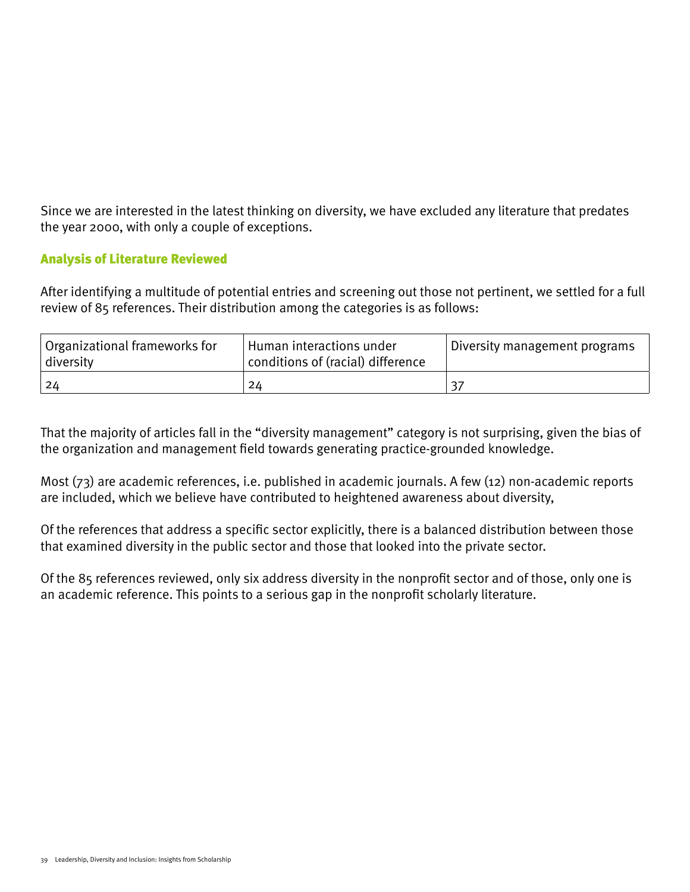Since we are interested in the latest thinking on diversity, we have excluded any literature that predates the year 2000, with only a couple of exceptions.

#### Analysis of Literature Reviewed

After identifying a multitude of potential entries and screening out those not pertinent, we settled for a full review of 85 references. Their distribution among the categories is as follows:

| Organizational frameworks for<br>diversity | Human interactions under<br>conditions of (racial) difference | Diversity management programs |
|--------------------------------------------|---------------------------------------------------------------|-------------------------------|
| -24                                        | 24                                                            |                               |

That the majority of articles fall in the "diversity management" category is not surprising, given the bias of the organization and management field towards generating practice-grounded knowledge.

Most (73) are academic references, i.e. published in academic journals. A few (12) non-academic reports are included, which we believe have contributed to heightened awareness about diversity,

Of the references that address a specific sector explicitly, there is a balanced distribution between those that examined diversity in the public sector and those that looked into the private sector.

Of the 85 references reviewed, only six address diversity in the nonprofit sector and of those, only one is an academic reference. This points to a serious gap in the nonprofit scholarly literature.